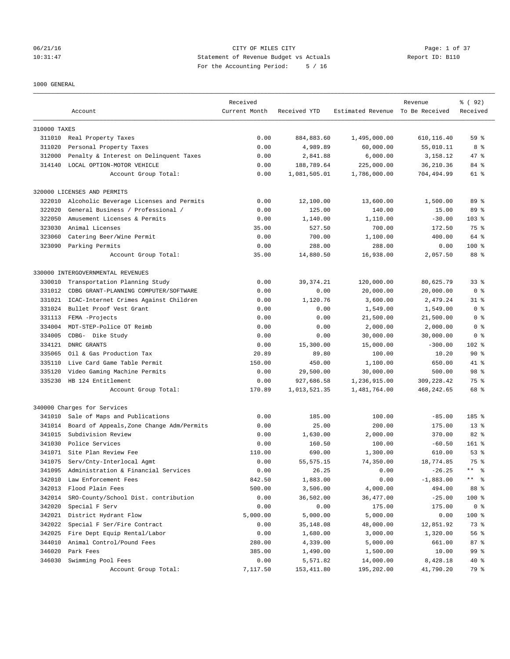### 06/21/16 CITY OF MILES CITY Page: 1 of 37 10:31:47 Statement of Revenue Budget vs Actuals Report ID: B110 For the Accounting Period: 5 / 16

### 1000 GENERAL

|              |                                           | Received      |              |                                  | Revenue     | % ( 92 )            |
|--------------|-------------------------------------------|---------------|--------------|----------------------------------|-------------|---------------------|
|              | Account                                   | Current Month | Received YTD | Estimated Revenue To Be Received |             | Received            |
|              |                                           |               |              |                                  |             |                     |
| 310000 TAXES |                                           |               |              |                                  |             |                     |
|              | 311010 Real Property Taxes                | 0.00          | 884,883.60   | 1,495,000.00                     | 610,116.40  | 59 <sup>°</sup>     |
| 311020       | Personal Property Taxes                   | 0.00          | 4,989.89     | 60,000.00                        | 55,010.11   | 8 %                 |
| 312000       | Penalty & Interest on Delinquent Taxes    | 0.00          | 2,841.88     | 6,000.00                         | 3,158.12    | 47 %                |
| 314140       | LOCAL OPTION-MOTOR VEHICLE                | 0.00          | 188,789.64   | 225,000.00                       | 36,210.36   | 84 %                |
|              | Account Group Total:                      | 0.00          | 1,081,505.01 | 1,786,000.00                     | 704,494.99  | 61 %                |
|              | 320000 LICENSES AND PERMITS               |               |              |                                  |             |                     |
| 322010       | Alcoholic Beverage Licenses and Permits   | 0.00          | 12,100.00    | 13,600.00                        | 1,500.00    | 89 %                |
| 322020       | General Business / Professional /         | 0.00          | 125.00       | 140.00                           | 15.00       | 89 %                |
| 322050       | Amusement Licenses & Permits              | 0.00          | 1,140.00     | 1,110.00                         | $-30.00$    | $103*$              |
| 323030       | Animal Licenses                           | 35.00         | 527.50       | 700.00                           | 172.50      | 75 %                |
| 323060       | Catering Beer/Wine Permit                 | 0.00          | 700.00       | 1,100.00                         | 400.00      | 64 %                |
|              | 323090 Parking Permits                    | 0.00          | 288.00       | 288.00                           | 0.00        | $100$ %             |
|              | Account Group Total:                      | 35.00         | 14,880.50    | 16,938.00                        | 2,057.50    | 88 %                |
|              |                                           |               |              |                                  |             |                     |
|              | 330000 INTERGOVERNMENTAL REVENUES         |               |              |                                  |             |                     |
| 330010       | Transportation Planning Study             | 0.00          | 39, 374.21   | 120,000.00                       | 80,625.79   | 33 <sup>8</sup>     |
| 331012       | CDBG GRANT-PLANNING COMPUTER/SOFTWARE     | 0.00          | 0.00         | 20,000.00                        | 20,000.00   | 0 <sup>8</sup>      |
| 331021       | ICAC-Internet Crimes Against Children     | 0.00          | 1,120.76     | 3,600.00                         | 2,479.24    | $31$ $%$            |
| 331024       | Bullet Proof Vest Grant                   | 0.00          | 0.00         | 1,549.00                         | 1,549.00    | 0 <sup>8</sup>      |
| 331113       | FEMA -Projects                            | 0.00          | 0.00         | 21,500.00                        | 21,500.00   | 0 %                 |
| 334004       | MDT-STEP-Police OT Reimb                  | 0.00          | 0.00         | 2,000.00                         | 2,000.00    | 0 <sup>8</sup>      |
| 334005       | CDBG- Dike Study                          | 0.00          | 0.00         | 30,000.00                        | 30,000.00   | 0 <sup>8</sup>      |
| 334121       | DNRC GRANTS                               | 0.00          | 15,300.00    | 15,000.00                        | $-300.00$   | 102 %               |
| 335065       | Oil & Gas Production Tax                  | 20.89         | 89.80        | 100.00                           | 10.20       | $90*$               |
| 335110       | Live Card Game Table Permit               | 150.00        | 450.00       | 1,100.00                         | 650.00      | 41.8                |
| 335120       | Video Gaming Machine Permits              | 0.00          | 29,500.00    | 30,000.00                        | 500.00      | 98 %                |
| 335230       | HB 124 Entitlement                        | 0.00          | 927,686.58   | 1,236,915.00                     | 309, 228.42 | 75 %                |
|              | Account Group Total:                      | 170.89        | 1,013,521.35 | 1,481,764.00                     | 468,242.65  | 68 %                |
|              | 340000 Charges for Services               |               |              |                                  |             |                     |
| 341010       | Sale of Maps and Publications             | 0.00          | 185.00       | 100.00                           | $-85.00$    | 185 %               |
| 341014       | Board of Appeals, Zone Change Adm/Permits | 0.00          | 25.00        | 200.00                           | 175.00      | $13*$               |
| 341015       | Subdivision Review                        | 0.00          | 1,630.00     | 2,000.00                         | 370.00      | 82 %                |
| 341030       | Police Services                           | 0.00          | 160.50       | 100.00                           | $-60.50$    | $161$ %             |
| 341071       | Site Plan Review Fee                      | 110.00        |              |                                  |             | 53%                 |
|              |                                           |               | 690.00       | 1,300.00                         | 610.00      |                     |
| 341075       | Serv/Cnty-Interlocal Agmt                 | 0.00          | 55, 575.15   | 74,350.00                        | 18,774.85   | 75 %                |
| 341095       | Administration & Financial Services       | 0.00          | 26.25        | 0.00                             | $-26.25$    | $\star\star$<br>- ৡ |
| 342010       | Law Enforcement Fees                      | 842.50        | 1,883.00     | 0.00                             | $-1,883.00$ | $\star\star$<br>ႜ   |
| 342013       | Flood Plain Fees                          | 500.00        | 3,506.00     | 4,000.00                         | 494.00      | 88 %                |
| 342014       | SRO-County/School Dist. contribution      | 0.00          | 36,502.00    | 36,477.00                        | $-25.00$    | 100 %               |
| 342020       | Special F Serv                            | 0.00          | 0.00         | 175.00                           | 175.00      | 0 <sup>8</sup>      |
| 342021       | District Hydrant Flow                     | 5,000.00      | 5,000.00     | 5,000.00                         | 0.00        | 100 %               |
| 342022       | Special F Ser/Fire Contract               | 0.00          | 35,148.08    | 48,000.00                        | 12,851.92   | 73 %                |
| 342025       | Fire Dept Equip Rental/Labor              | 0.00          | 1,680.00     | 3,000.00                         | 1,320.00    | 56 %                |
| 344010       | Animal Control/Pound Fees                 | 280.00        | 4,339.00     | 5,000.00                         | 661.00      | 87%                 |
| 346020       | Park Fees                                 | 385.00        | 1,490.00     | 1,500.00                         | 10.00       | 99 %                |
| 346030       | Swimming Pool Fees                        | 0.00          | 5,571.82     | 14,000.00                        | 8,428.18    | 40 %                |
|              | Account Group Total:                      | 7,117.50      | 153, 411.80  | 195,202.00                       | 41,790.20   | 79 %                |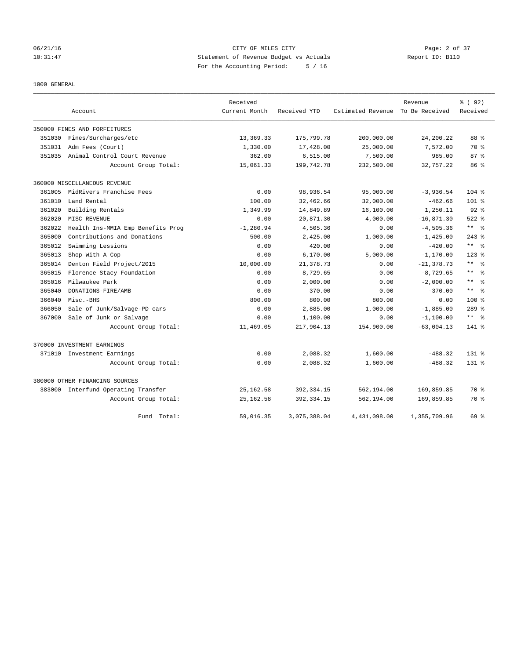# 06/21/16 CITY OF MILES CITY Page: 2 of 37 10:31:47 Statement of Revenue Budget vs Actuals Report ID: B110 For the Accounting Period: 5 / 16

1000 GENERAL

|        |                                   | Received      |              |                   | Revenue        | % (92)                       |
|--------|-----------------------------------|---------------|--------------|-------------------|----------------|------------------------------|
|        | Account                           | Current Month | Received YTD | Estimated Revenue | To Be Received | Received                     |
|        | 350000 FINES AND FORFEITURES      |               |              |                   |                |                              |
| 351030 | Fines/Surcharges/etc              | 13,369.33     | 175,799.78   | 200,000.00        | 24,200.22      | 88 %                         |
| 351031 | Adm Fees (Court)                  | 1,330.00      | 17,428.00    | 25,000.00         | 7,572.00       | 70 %                         |
| 351035 | Animal Control Court Revenue      | 362.00        | 6, 515.00    | 7,500.00          | 985.00         | 87%                          |
|        | Account Group Total:              | 15,061.33     | 199,742.78   | 232,500.00        | 32,757.22      | 86 <sup>8</sup>              |
|        | 360000 MISCELLANEOUS REVENUE      |               |              |                   |                |                              |
| 361005 | MidRivers Franchise Fees          | 0.00          | 98,936.54    | 95,000.00         | $-3,936.54$    | $104$ %                      |
| 361010 | Land Rental                       | 100.00        | 32,462.66    | 32,000.00         | $-462.66$      | $101$ %                      |
| 361020 | Building Rentals                  | 1,349.99      | 14,849.89    | 16,100.00         | 1,250.11       | $92$ $%$                     |
| 362020 | MISC REVENUE                      | 0.00          | 20,871.30    | 4,000.00          | $-16,871.30$   | $522$ %                      |
| 362022 | Health Ins-MMIA Emp Benefits Prog | $-1, 280.94$  | 4,505.36     | 0.00              | $-4,505.36$    | $\star\star$<br>- ৡ          |
| 365000 | Contributions and Donations       | 500.00        | 2,425.00     | 1,000.00          | $-1, 425.00$   | $243$ %                      |
| 365012 | Swimming Lessions                 | 0.00          | 420.00       | 0.00              | $-420.00$      | $\star$ $\star$<br>- 옹       |
| 365013 | Shop With A Cop                   | 0.00          | 6,170.00     | 5,000.00          | $-1, 170.00$   | $123$ %                      |
| 365014 | Denton Field Project/2015         | 10,000.00     | 21, 378.73   | 0.00              | $-21, 378.73$  | $\star\star$<br>ွေ           |
| 365015 | Florence Stacy Foundation         | 0.00          | 8,729.65     | 0.00              | $-8,729.65$    | $\star$ $\star$<br>$\approx$ |
| 365016 | Milwaukee Park                    | 0.00          | 2.000.00     | 0.00              | $-2.000.00$    | $\star$ $\star$<br>$\approx$ |
| 365040 | DONATIONS-FIRE/AMB                | 0.00          | 370.00       | 0.00              | $-370.00$      | $\star$ $\star$<br>- 옹       |
| 366040 | Misc.-BHS                         | 800.00        | 800.00       | 800.00            | 0.00           | 100 <sub>8</sub>             |
| 366050 | Sale of Junk/Salvage-PD cars      | 0.00          | 2,885.00     | 1,000.00          | $-1,885.00$    | 289 %                        |
| 367000 | Sale of Junk or Salvage           | 0.00          | 1,100.00     | 0.00              | $-1,100.00$    | $***$ 2                      |
|        | Account Group Total:              | 11,469.05     | 217,904.13   | 154,900.00        | $-63,004.13$   | 141 %                        |
|        | 370000 INVESTMENT EARNINGS        |               |              |                   |                |                              |
|        | 371010 Investment Earnings        | 0.00          | 2,088.32     | 1,600.00          | $-488.32$      | $131*$                       |
|        | Account Group Total:              | 0.00          | 2,088.32     | 1,600.00          | $-488.32$      | $131$ %                      |
|        | 380000 OTHER FINANCING SOURCES    |               |              |                   |                |                              |
| 383000 | Interfund Operating Transfer      | 25, 162.58    | 392, 334.15  | 562,194.00        | 169,859.85     | 70 %                         |
|        | Account Group Total:              | 25, 162.58    | 392, 334.15  | 562,194.00        | 169,859.85     | 70 %                         |
|        | Fund Total:                       | 59,016.35     | 3,075,388.04 | 4,431,098.00      | 1,355,709.96   | 69 %                         |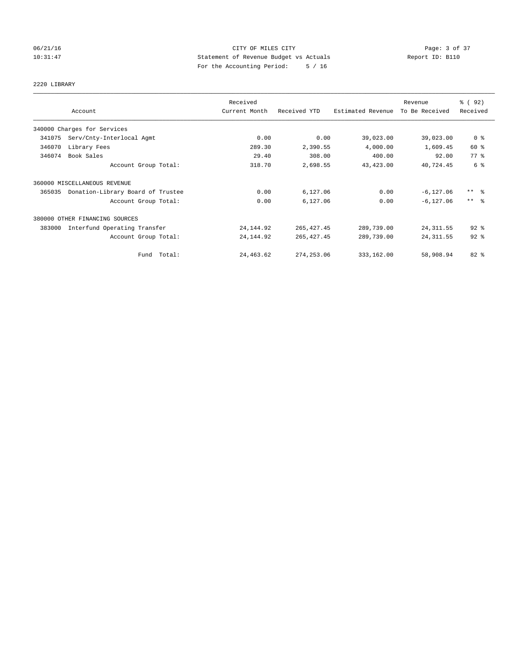# 06/21/16 CITY OF MILES CITY Page: 3 of 37 10:31:47 Statement of Revenue Budget vs Actuals Report ID: B110 For the Accounting Period: 5 / 16

2220 LIBRARY

|        |                                   | Received      |              |                   | Revenue        | 8 (92)                  |
|--------|-----------------------------------|---------------|--------------|-------------------|----------------|-------------------------|
|        | Account                           | Current Month | Received YTD | Estimated Revenue | To Be Received | Received                |
|        | 340000 Charges for Services       |               |              |                   |                |                         |
| 341075 | Serv/Cnty-Interlocal Agmt         | 0.00          | 0.00         | 39,023.00         | 39,023.00      | 0 <sup>8</sup>          |
| 346070 | Library Fees                      | 289.30        | 2,390.55     | 4,000.00          | 1,609.45       | 60 %                    |
| 346074 | Book Sales                        | 29.40         | 308.00       | 400.00            | 92.00          | 77.8                    |
|        | Account Group Total:              | 318.70        | 2,698.55     | 43, 423.00        | 40,724.45      | 6 %                     |
|        | 360000 MISCELLANEOUS REVENUE      |               |              |                   |                |                         |
| 365035 | Donation-Library Board of Trustee | 0.00          | 6,127.06     | 0.00              | $-6, 127.06$   | $***$ $=$ $\frac{6}{5}$ |
|        | Account Group Total:              | 0.00          | 6,127.06     | 0.00              | $-6.127.06$    | $\star\star$<br>- 옹     |
|        | 380000 OTHER FINANCING SOURCES    |               |              |                   |                |                         |
| 383000 | Interfund Operating Transfer      | 24,144.92     | 265, 427.45  | 289,739.00        | 24, 311.55     | $92$ $%$                |
|        | Account Group Total:              | 24, 144.92    | 265, 427.45  | 289,739.00        | 24, 311.55     | $92$ $%$                |
|        | Total:<br>Fund                    | 24, 463.62    | 274, 253.06  | 333,162.00        | 58,908.94      | 82%                     |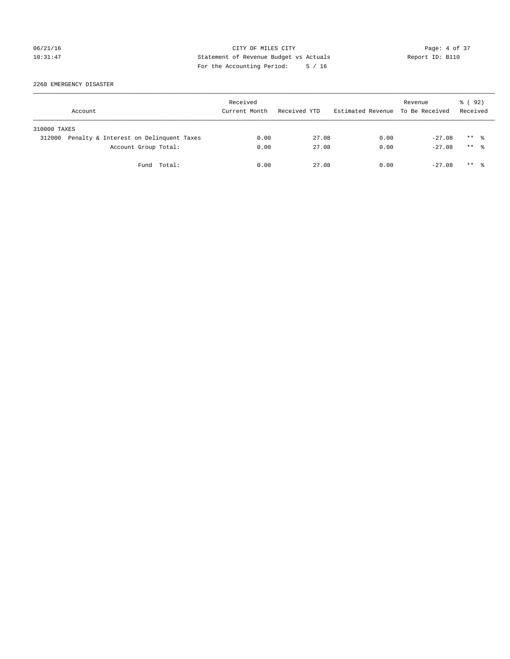# 06/21/16 CITY OF MILES CITY Page: 4 of 37 10:31:47 Statement of Revenue Budget vs Actuals Report ID: B110 For the Accounting Period: 5 / 16

2260 EMERGENCY DISASTER

|              | Account                                | Received<br>Current Month | Received YTD | Estimated Revenue To Be Received | Revenue  | 8 (92)<br>Received   |
|--------------|----------------------------------------|---------------------------|--------------|----------------------------------|----------|----------------------|
| 310000 TAXES |                                        |                           |              |                                  |          |                      |
| 312000       | Penalty & Interest on Delinquent Taxes | 0.00                      | 27.08        | 0.00                             | $-27.08$ | $***$ %              |
|              | Account Group Total:                   | 0.00                      | 27.08        | 0.00                             | $-27.08$ | $***$ $\frac{6}{10}$ |
|              | Fund Total:                            | 0.00                      | 27.08        | 0.00                             | $-27.08$ | $***$ %              |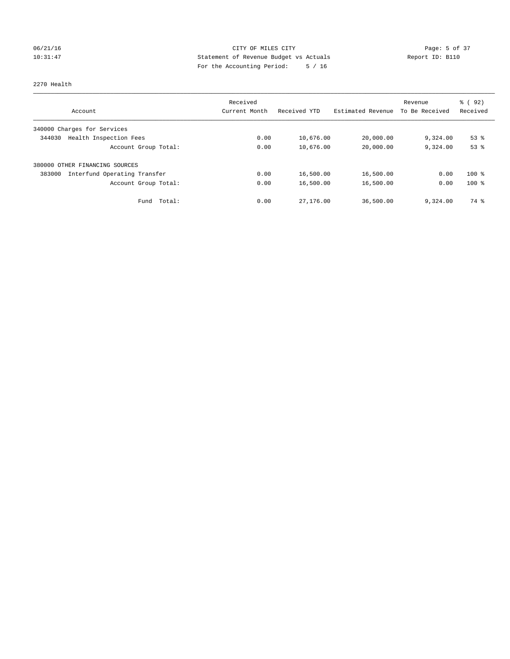# 06/21/16 CITY OF MILES CITY Page: 5 of 37 10:31:47 Statement of Revenue Budget vs Actuals Report ID: B110 For the Accounting Period: 5 / 16

#### 2270 Health

|                                        | Received      |              |                   | Revenue        | 8 (92)   |
|----------------------------------------|---------------|--------------|-------------------|----------------|----------|
| Account                                | Current Month | Received YTD | Estimated Revenue | To Be Received | Received |
| 340000 Charges for Services            |               |              |                   |                |          |
| Health Inspection Fees<br>344030       | 0.00          | 10,676.00    | 20,000.00         | 9,324.00       | $53$ $%$ |
| Account Group Total:                   | 0.00          | 10,676.00    | 20,000.00         | 9,324.00       | 53%      |
| OTHER FINANCING SOURCES<br>380000      |               |              |                   |                |          |
| Interfund Operating Transfer<br>383000 | 0.00          | 16,500.00    | 16,500.00         | 0.00           | $100*$   |
| Account Group Total:                   | 0.00          | 16,500.00    | 16,500.00         | 0.00           | $100*$   |
| Fund Total:                            | 0.00          | 27,176.00    | 36,500.00         | 9,324.00       | 74 %     |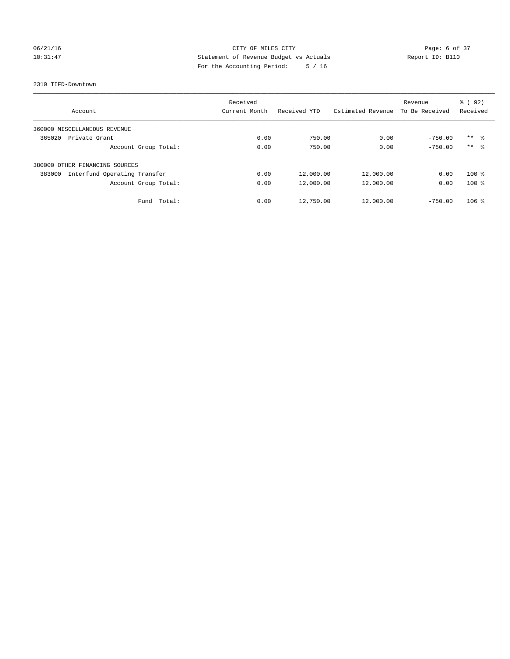# 06/21/16 CITY OF MILES CITY Page: 6 of 37 10:31:47 Statement of Revenue Budget vs Actuals Report ID: B110 For the Accounting Period: 5 / 16

#### 2310 TIFD-Downtown

|                                        | Received      |              | Revenue           |                | 8 (92)              |
|----------------------------------------|---------------|--------------|-------------------|----------------|---------------------|
| Account                                | Current Month | Received YTD | Estimated Revenue | To Be Received | Received            |
| 360000 MISCELLANEOUS REVENUE           |               |              |                   |                |                     |
| 365020<br>Private Grant                | 0.00          | 750.00       | 0.00              | $-750.00$      | $***$ $\frac{6}{3}$ |
| Account Group Total:                   | 0.00          | 750.00       | 0.00              | $-750.00$      | $***$ $\frac{6}{3}$ |
| 380000<br>OTHER FINANCING SOURCES      |               |              |                   |                |                     |
| Interfund Operating Transfer<br>383000 | 0.00          | 12,000.00    | 12,000.00         | 0.00           | $100*$              |
| Account Group Total:                   | 0.00          | 12,000.00    | 12,000.00         | 0.00           | $100*$              |
| Fund Total:                            | 0.00          | 12,750.00    | 12,000.00         | $-750.00$      | $106$ %             |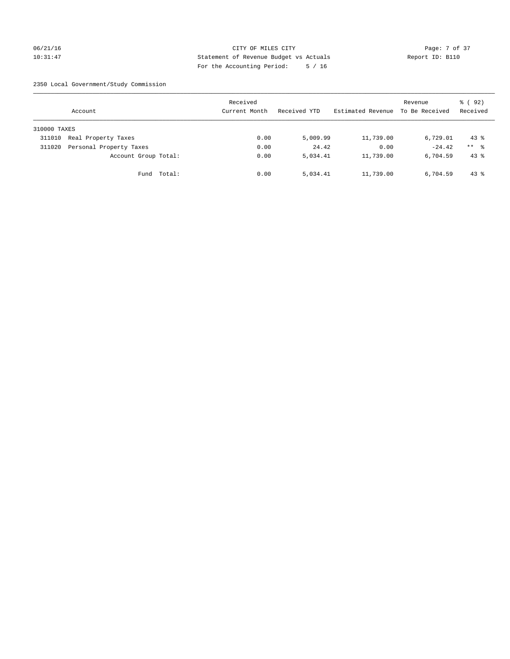## 06/21/16 CITY OF MILES CITY Page: 7 of 37 10:31:47 Statement of Revenue Budget vs Actuals Report ID: B110 For the Accounting Period: 5 / 16

2350 Local Government/Study Commission

|              | Account                 |             | Received<br>Current Month |      | Received YTD | Estimated Revenue | Revenue<br>To Be Received | 8 (92)<br>Received |
|--------------|-------------------------|-------------|---------------------------|------|--------------|-------------------|---------------------------|--------------------|
| 310000 TAXES |                         |             |                           |      |              |                   |                           |                    |
| 311010       | Real Property Taxes     |             |                           | 0.00 | 5,009.99     | 11,739.00         | 6,729.01                  | $43*$              |
| 311020       | Personal Property Taxes |             |                           | 0.00 | 24.42        | 0.00              | $-24.42$                  | $***$ %            |
|              | Account Group Total:    |             |                           | 0.00 | 5,034.41     | 11,739.00         | 6,704.59                  | $43$ $%$           |
|              |                         | Fund Total: |                           | 0.00 | 5,034.41     | 11,739.00         | 6,704.59                  | $43*$              |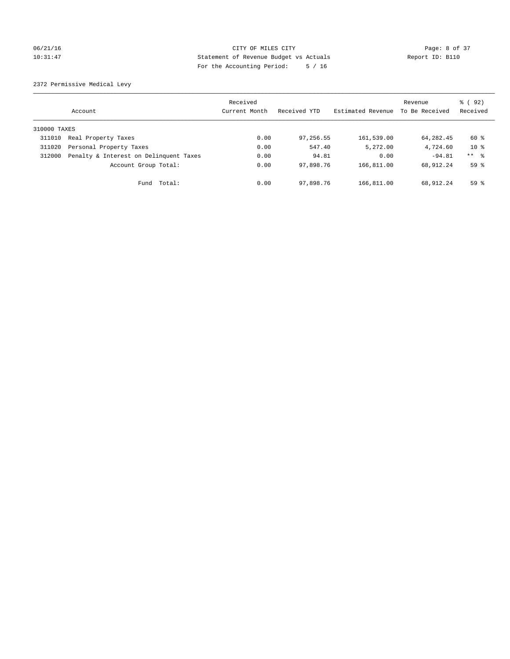## 06/21/16 CITY OF MILES CITY Page: 8 of 37 10:31:47 Statement of Revenue Budget vs Actuals Report ID: B110 For the Accounting Period: 5 / 16

2372 Permissive Medical Levy

|              | Account                                | Received<br>Current Month | Received YTD | Estimated Revenue | Revenue<br>To Be Received | 8 (92)<br>Received  |
|--------------|----------------------------------------|---------------------------|--------------|-------------------|---------------------------|---------------------|
| 310000 TAXES |                                        |                           |              |                   |                           |                     |
| 311010       | Real Property Taxes                    | 0.00                      | 97,256.55    | 161,539.00        | 64,282.45                 | 60 %                |
| 311020       | Personal Property Taxes                | 0.00                      | 547.40       | 5,272.00          | 4,724.60                  | $10*$               |
| 312000       | Penalty & Interest on Delinquent Taxes | 0.00                      | 94.81        | 0.00              | $-94.81$                  | $***$ $\frac{6}{5}$ |
|              | Account Group Total:                   | 0.00                      | 97,898.76    | 166,811.00        | 68,912.24                 | 59 <sup>°</sup>     |
|              | Fund Total:                            | 0.00                      | 97,898.76    | 166,811.00        | 68,912.24                 | $59*$               |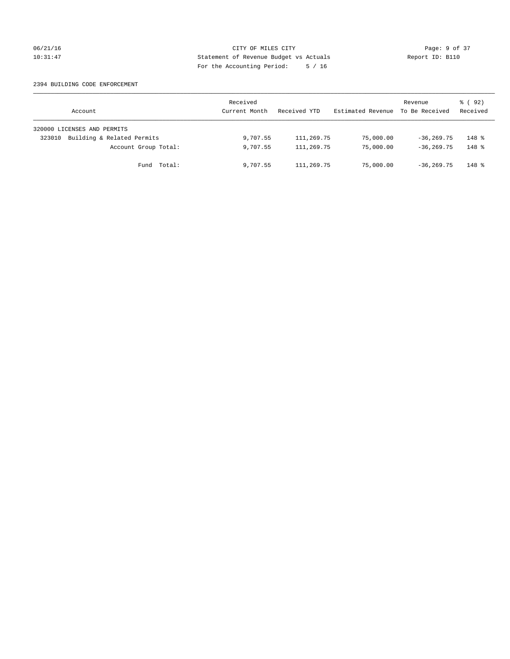## 06/21/16 CITY OF MILES CITY Page: 9 of 37 10:31:47 Statement of Revenue Budget vs Actuals Report ID: B110 For the Accounting Period: 5 / 16

### 2394 BUILDING CODE ENFORCEMENT

| Account                              | Received<br>Current Month | Received YTD | Estimated Revenue | Revenue<br>To Be Received | 8 (92)<br>Received |
|--------------------------------------|---------------------------|--------------|-------------------|---------------------------|--------------------|
| 320000 LICENSES AND PERMITS          |                           |              |                   |                           |                    |
| Building & Related Permits<br>323010 | 9,707.55                  | 111,269.75   | 75,000.00         | $-36, 269, 75$            | $148$ %            |
| Account Group Total:                 | 9,707.55                  | 111,269.75   | 75,000.00         | $-36, 269, 75$            | $148$ %            |
| Fund Total:                          | 9,707.55                  | 111,269.75   | 75,000.00         | $-36, 269, 75$            | $148$ %            |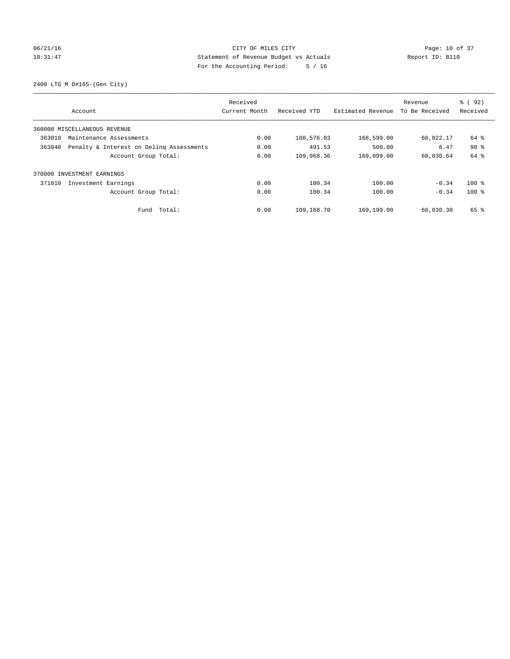# 06/21/16 Page: 10 of 37 10:31:47 Statement of Revenue Budget vs Actuals Report ID: B110 For the Accounting Period: 5 / 16

2400 LTG M D#165-(Gen City)

|                                                    | Received      |              |                   | Revenue        | % ( 92 ) |
|----------------------------------------------------|---------------|--------------|-------------------|----------------|----------|
| Account                                            | Current Month | Received YTD | Estimated Revenue | To Be Received | Received |
| 360000 MISCELLANEOUS REVENUE                       |               |              |                   |                |          |
| 363010<br>Maintenance Assessments                  | 0.00          | 108,576.83   | 168,599.00        | 60,022.17      | 64 %     |
| 363040<br>Penalty & Interest on Deling Assessments | 0.00          | 491.53       | 500.00            | 8.47           | 98 %     |
| Account Group Total:                               | 0.00          | 109,068.36   | 169,099.00        | 60,030.64      | 64 %     |
| 370000 INVESTMENT EARNINGS                         |               |              |                   |                |          |
| 371010<br>Investment Earnings                      | 0.00          | 100.34       | 100.00            | $-0.34$        | $100*$   |
| Account Group Total:                               | 0.00          | 100.34       | 100.00            | $-0.34$        | $100$ %  |
| Total:<br>Fund                                     | 0.00          | 109,168.70   | 169,199.00        | 60,030.30      | 65 %     |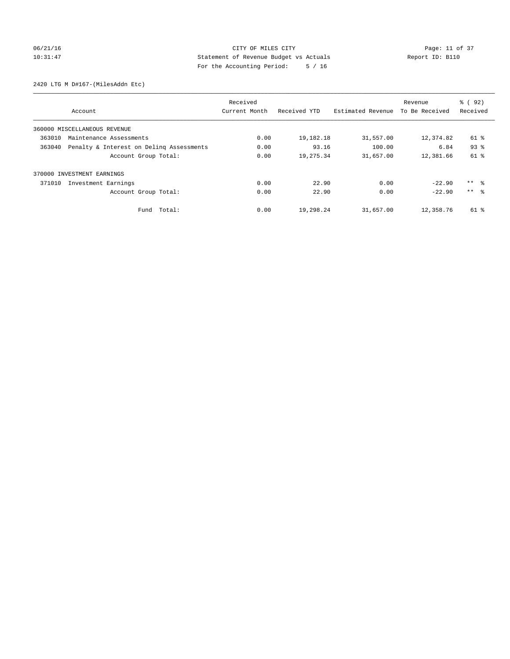# 06/21/16 Page: 11 of 37 10:31:47 Statement of Revenue Budget vs Actuals Report ID: B110 For the Accounting Period: 5 / 16

2420 LTG M D#167-(MilesAddn Etc)

|                               |                                          | Received      |              |                   | Revenue        | % (92)              |
|-------------------------------|------------------------------------------|---------------|--------------|-------------------|----------------|---------------------|
| Account                       |                                          | Current Month | Received YTD | Estimated Revenue | To Be Received | Received            |
| 360000 MISCELLANEOUS REVENUE  |                                          |               |              |                   |                |                     |
| 363010                        | Maintenance Assessments                  | 0.00          | 19,182.18    | 31,557.00         | 12,374.82      | 61 %                |
| 363040                        | Penalty & Interest on Deling Assessments | 0.00          | 93.16        | 100.00            | 6.84           | 93 <sup>8</sup>     |
|                               | Account Group Total:                     | 0.00          | 19,275.34    | 31,657.00         | 12,381.66      | $61$ %              |
| 370000 INVESTMENT EARNINGS    |                                          |               |              |                   |                |                     |
| 371010<br>Investment Earnings |                                          | 0.00          | 22.90        | 0.00              | $-22.90$       | $***$ $\frac{6}{3}$ |
|                               | Account Group Total:                     | 0.00          | 22.90        | 0.00              | $-22.90$       | $***$ $ -$          |
|                               | Fund Total:                              | 0.00          | 19,298.24    | 31,657.00         | 12,358.76      | 61 %                |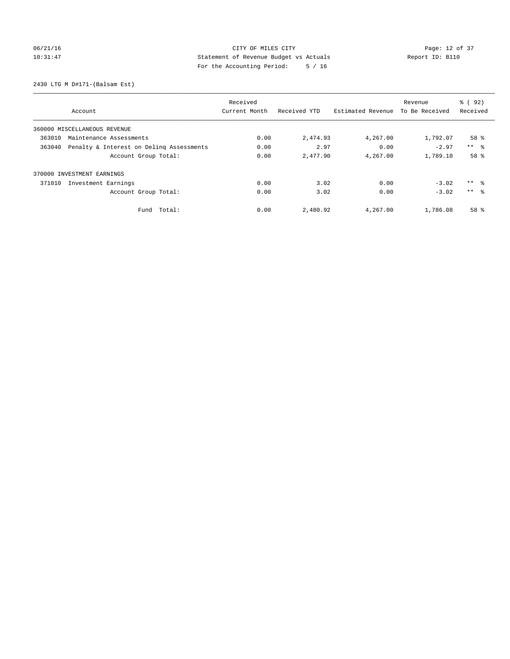# 06/21/16 Page: 12 of 37 10:31:47 Statement of Revenue Budget vs Actuals Report ID: B110 For the Accounting Period: 5 / 16

2430 LTG M D#171-(Balsam Est)

|                                                    | Received      |              |                   | Revenue        | % ( 92 )        |
|----------------------------------------------------|---------------|--------------|-------------------|----------------|-----------------|
| Account                                            | Current Month | Received YTD | Estimated Revenue | To Be Received | Received        |
| 360000 MISCELLANEOUS REVENUE                       |               |              |                   |                |                 |
| 363010<br>Maintenance Assessments                  | 0.00          | 2,474.93     | 4,267.00          | 1,792.07       | 58 <sup>8</sup> |
| Penalty & Interest on Deling Assessments<br>363040 | 0.00          | 2.97         | 0.00              | $-2.97$        | $***$ $ -$      |
| Account Group Total:                               | 0.00          | 2,477.90     | 4,267.00          | 1,789.10       | 58 %            |
| 370000 INVESTMENT EARNINGS                         |               |              |                   |                |                 |
| 371010<br>Investment Earnings                      | 0.00          | 3.02         | 0.00              | $-3.02$        | $***$ $\approx$ |
| Account Group Total:                               | 0.00          | 3.02         | 0.00              | $-3.02$        | $***$ $\approx$ |
| Total:<br>Fund                                     | 0.00          | 2,480.92     | 4,267.00          | 1,786.08       | 58 %            |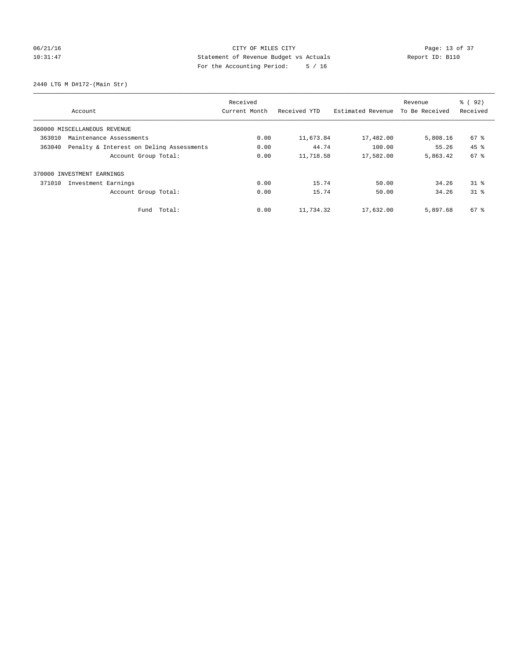# 06/21/16 Page: 13 of 37 10:31:47 Statement of Revenue Budget vs Actuals Report ID: B110 For the Accounting Period: 5 / 16

2440 LTG M D#172-(Main Str)

|                                                    | Received      |              |                   | Revenue        | % ( 92 )        |
|----------------------------------------------------|---------------|--------------|-------------------|----------------|-----------------|
| Account                                            | Current Month | Received YTD | Estimated Revenue | To Be Received | Received        |
| 360000 MISCELLANEOUS REVENUE                       |               |              |                   |                |                 |
| 363010<br>Maintenance Assessments                  | 0.00          | 11,673.84    | 17,482.00         | 5,808.16       | 67 %            |
| Penalty & Interest on Deling Assessments<br>363040 | 0.00          | 44.74        | 100.00            | 55.26          | $45$ $%$        |
| Account Group Total:                               | 0.00          | 11,718.58    | 17,582.00         | 5,863.42       | 67 <sup>8</sup> |
| 370000 INVESTMENT EARNINGS                         |               |              |                   |                |                 |
| 371010<br>Investment Earnings                      | 0.00          | 15.74        | 50.00             | 34.26          | $31$ %          |
| Account Group Total:                               | 0.00          | 15.74        | 50.00             | 34.26          | $31$ $%$        |
| Total:<br>Fund                                     | 0.00          | 11,734.32    | 17,632.00         | 5,897.68       | 67 %            |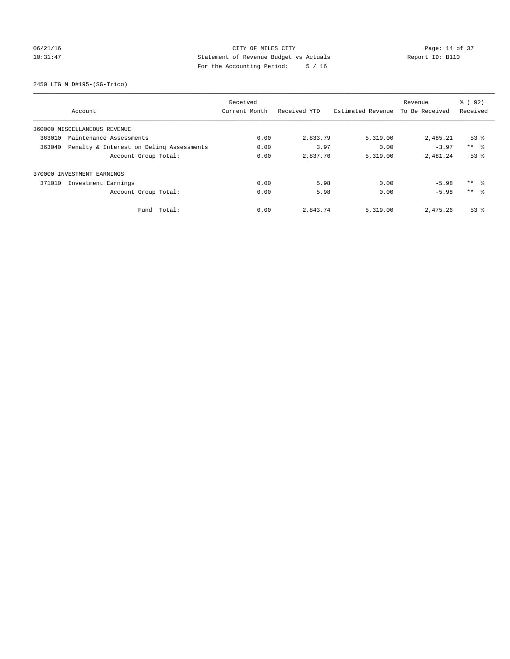# 06/21/16 Page: 14 of 37 10:31:47 Statement of Revenue Budget vs Actuals Report ID: B110 For the Accounting Period: 5 / 16

2450 LTG M D#195-(SG-Trico)

|                                                    | Received      |              |                   | Revenue        | % ( 92 )        |
|----------------------------------------------------|---------------|--------------|-------------------|----------------|-----------------|
| Account                                            | Current Month | Received YTD | Estimated Revenue | To Be Received | Received        |
| 360000 MISCELLANEOUS REVENUE                       |               |              |                   |                |                 |
| 363010<br>Maintenance Assessments                  | 0.00          | 2,833.79     | 5,319.00          | 2,485.21       | $53$ $%$        |
| 363040<br>Penalty & Interest on Deling Assessments | 0.00          | 3.97         | 0.00              | $-3.97$        | $***$ $ -$      |
| Account Group Total:                               | 0.00          | 2,837.76     | 5,319.00          | 2,481.24       | 53%             |
| 370000 INVESTMENT EARNINGS                         |               |              |                   |                |                 |
| 371010<br>Investment Earnings                      | 0.00          | 5.98         | 0.00              | $-5.98$        | ** 왕            |
| Account Group Total:                               | 0.00          | 5.98         | 0.00              | $-5.98$        | $***$ $\approx$ |
| Total:<br>Fund                                     | 0.00          | 2,843.74     | 5,319.00          | 2,475.26       | $53$ $%$        |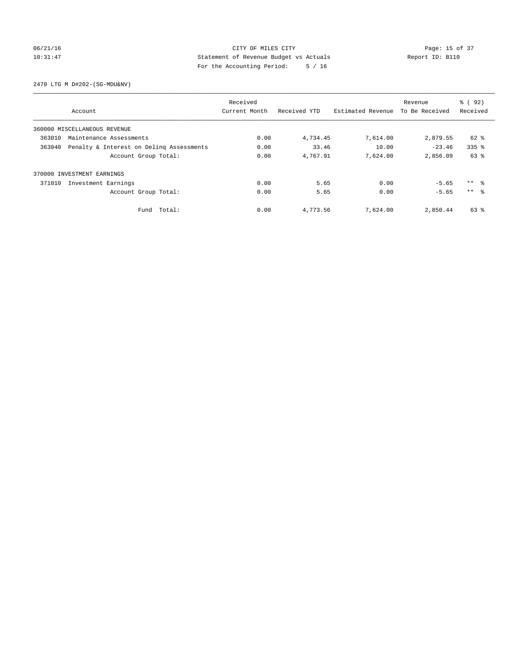## 06/21/16 Page: 15 of 37 10:31:47 Statement of Revenue Budget vs Actuals Report ID: B110 For the Accounting Period: 5 / 16

2470 LTG M D#202-(SG-MDU&NV)

|        |                                          | Received      |              |                   | Revenue        | 8 (92)          |
|--------|------------------------------------------|---------------|--------------|-------------------|----------------|-----------------|
|        | Account                                  | Current Month | Received YTD | Estimated Revenue | To Be Received | Received        |
|        | 360000 MISCELLANEOUS REVENUE             |               |              |                   |                |                 |
| 363010 | Maintenance Assessments                  | 0.00          | 4,734.45     | 7,614.00          | 2,879.55       | 62 %            |
| 363040 | Penalty & Interest on Deling Assessments | 0.00          | 33.46        | 10.00             | $-23.46$       | $335$ $%$       |
|        | Account Group Total:                     | 0.00          | 4,767.91     | 7,624.00          | 2,856.09       | 63 %            |
|        | 370000 INVESTMENT EARNINGS               |               |              |                   |                |                 |
| 371010 | Investment Earnings                      | 0.00          | 5.65         | 0.00              | $-5.65$        | $***$ $ -$      |
|        | Account Group Total:                     | 0.00          | 5.65         | 0.00              | $-5.65$        | $***$ $\approx$ |
|        | Fund Total:                              | 0.00          | 4,773.56     | 7,624.00          | 2,850.44       | 63 %            |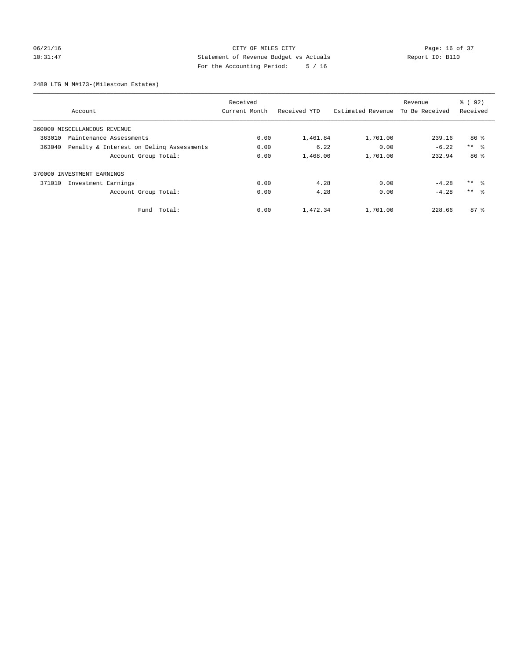# 06/21/16 Page: 16 of 37 10:31:47 Statement of Revenue Budget vs Actuals Report ID: B110 For the Accounting Period: 5 / 16

2480 LTG M M#173-(Milestown Estates)

|        |                                          | Received      |              |                   | Revenue        | 8 (92)              |
|--------|------------------------------------------|---------------|--------------|-------------------|----------------|---------------------|
|        | Account                                  | Current Month | Received YTD | Estimated Revenue | To Be Received | Received            |
|        | 360000 MISCELLANEOUS REVENUE             |               |              |                   |                |                     |
| 363010 | Maintenance Assessments                  | 0.00          | 1,461.84     | 1,701.00          | 239.16         | 86 <sup>8</sup>     |
| 363040 | Penalty & Interest on Deling Assessments | 0.00          | 6.22         | 0.00              | $-6.22$        | $***$ $ -$          |
|        | Account Group Total:                     | 0.00          | 1,468.06     | 1,701.00          | 232.94         | 86 %                |
|        | 370000 INVESTMENT EARNINGS               |               |              |                   |                |                     |
| 371010 | Investment Earnings                      | 0.00          | 4.28         | 0.00              | $-4.28$        | $***$ $\frac{6}{3}$ |
|        | Account Group Total:                     | 0.00          | 4.28         | 0.00              | $-4.28$        | $***$ $\approx$     |
|        | Fund Total:                              | 0.00          | 1,472.34     | 1,701.00          | 228.66         | $87*$               |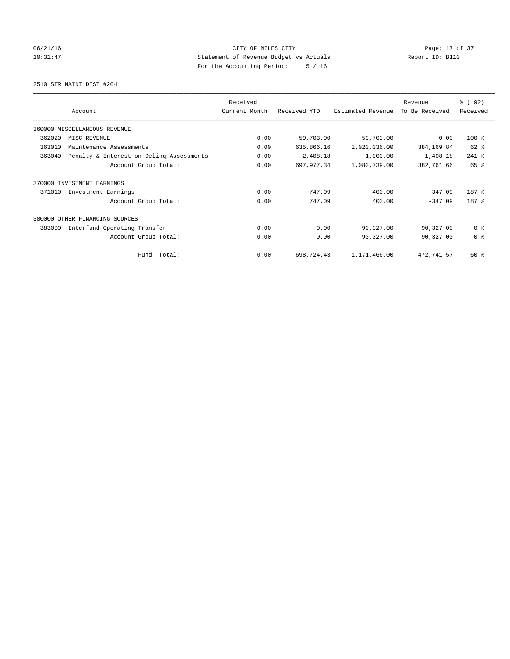# 06/21/16 Page: 17 of 37 10:31:47 Statement of Revenue Budget vs Actuals Report ID: B110 For the Accounting Period: 5 / 16

2510 STR MAINT DIST #204

|        |                                          | Received      |              |                   | Revenue        | 8 (92)         |
|--------|------------------------------------------|---------------|--------------|-------------------|----------------|----------------|
|        | Account                                  | Current Month | Received YTD | Estimated Revenue | To Be Received | Received       |
|        | 360000 MISCELLANEOUS REVENUE             |               |              |                   |                |                |
| 362020 | MISC REVENUE                             | 0.00          | 59,703.00    | 59,703.00         | 0.00           | 100 %          |
| 363010 | Maintenance Assessments                  | 0.00          | 635,866.16   | 1,020,036.00      | 384,169.84     | 62 %           |
| 363040 | Penalty & Interest on Deling Assessments | 0.00          | 2,408.18     | 1,000.00          | $-1,408.18$    | 241 %          |
|        | Account Group Total:                     | 0.00          | 697.977.34   | 1,080,739.00      | 382,761.66     | 65 %           |
| 370000 | INVESTMENT EARNINGS                      |               |              |                   |                |                |
| 371010 | Investment Earnings                      | 0.00          | 747.09       | 400.00            | $-347.09$      | 187 %          |
|        | Account Group Total:                     | 0.00          | 747.09       | 400.00            | $-347.09$      | 187 %          |
| 380000 | OTHER FINANCING SOURCES                  |               |              |                   |                |                |
| 383000 | Interfund Operating Transfer             | 0.00          | 0.00         | 90,327.00         | 90,327.00      | 0 <sup>8</sup> |
|        | Account Group Total:                     | 0.00          | 0.00         | 90,327.00         | 90,327.00      | 0 <sup>8</sup> |
|        | Total:<br>Fund                           | 0.00          | 698,724.43   | 1,171,466.00      | 472,741.57     | 60 %           |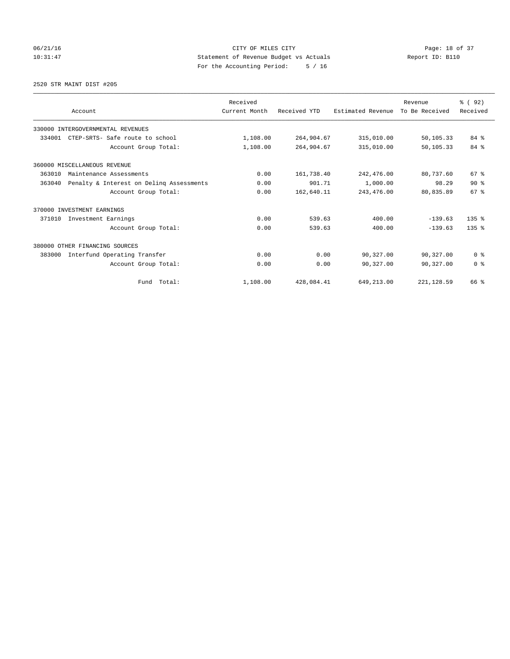# 06/21/16 Page: 18 of 37 10:31:47 Statement of Revenue Budget vs Actuals Report ID: B110 For the Accounting Period: 5 / 16

2520 STR MAINT DIST #205

|        | Account                                  | Received<br>Current Month | Received YTD | Estimated Revenue | Revenue<br>To Be Received | % (92)<br>Received |
|--------|------------------------------------------|---------------------------|--------------|-------------------|---------------------------|--------------------|
|        | 330000 INTERGOVERNMENTAL REVENUES        |                           |              |                   |                           |                    |
| 334001 | CTEP-SRTS- Safe route to school          | 1,108.00                  | 264,904.67   | 315,010.00        | 50,105.33                 | 84 %               |
|        | Account Group Total:                     | 1,108.00                  | 264,904.67   | 315,010.00        | 50,105.33                 | 84 %               |
|        | 360000 MISCELLANEOUS REVENUE             |                           |              |                   |                           |                    |
| 363010 | Maintenance Assessments                  | 0.00                      | 161,738.40   | 242,476.00        | 80,737.60                 | 67 <sup>8</sup>    |
| 363040 | Penalty & Interest on Deling Assessments | 0.00                      | 901.71       | 1,000.00          | 98.29                     | $90*$              |
|        | Account Group Total:                     | 0.00                      | 162,640.11   | 243, 476.00       | 80,835.89                 | 67 <sup>8</sup>    |
|        | 370000 INVESTMENT EARNINGS               |                           |              |                   |                           |                    |
| 371010 | Investment Earnings                      | 0.00                      | 539.63       | 400.00            | $-139.63$                 | 135 <sub>8</sub>   |
|        | Account Group Total:                     | 0.00                      | 539.63       | 400.00            | $-139.63$                 | 135 <sub>8</sub>   |
|        | 380000 OTHER FINANCING SOURCES           |                           |              |                   |                           |                    |
| 383000 | Interfund Operating Transfer             | 0.00                      | 0.00         | 90,327.00         | 90,327.00                 | 0 <sup>8</sup>     |
|        | Account Group Total:                     | 0.00                      | 0.00         | 90,327.00         | 90,327.00                 | 0 <sup>8</sup>     |
|        | Fund Total:                              | 1,108.00                  | 428,084.41   | 649,213.00        | 221, 128.59               | 66 %               |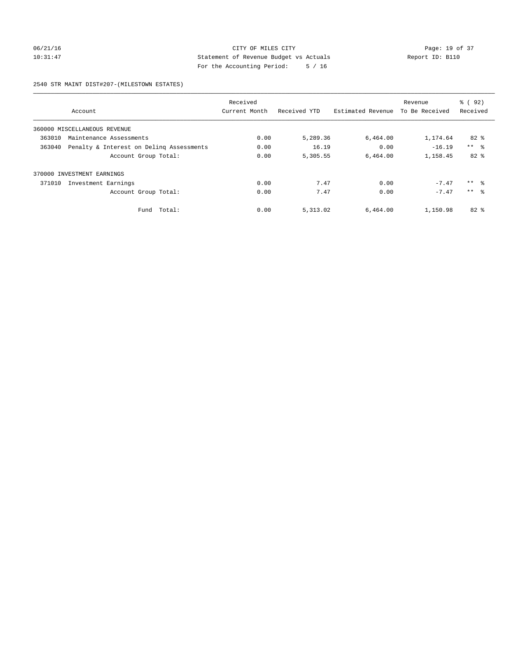## 06/21/16 Page: 19 of 37 10:31:47 Statement of Revenue Budget vs Actuals Report ID: B110 For the Accounting Period: 5 / 16

#### 2540 STR MAINT DIST#207-(MILESTOWN ESTATES)

|        |                                          | Received      |              |                   | Revenue        | 8 (92)              |
|--------|------------------------------------------|---------------|--------------|-------------------|----------------|---------------------|
|        | Account                                  | Current Month | Received YTD | Estimated Revenue | To Be Received | Received            |
|        | 360000 MISCELLANEOUS REVENUE             |               |              |                   |                |                     |
| 363010 | Maintenance Assessments                  | 0.00          | 5,289.36     | 6,464.00          | 1,174.64       | $82*$               |
| 363040 | Penalty & Interest on Deling Assessments | 0.00          | 16.19        | 0.00              | $-16.19$       | $***$ $\approx$     |
|        | Account Group Total:                     | 0.00          | 5,305.55     | 6,464.00          | 1,158.45       | $82*$               |
| 370000 | INVESTMENT EARNINGS                      |               |              |                   |                |                     |
| 371010 | Investment Earnings                      | 0.00          | 7.47         | 0.00              | $-7.47$        | $***$ $\frac{6}{3}$ |
|        | Account Group Total:                     | 0.00          | 7.47         | 0.00              | $-7.47$        | $***$ $\approx$     |
|        | Total:<br>Fund                           | 0.00          | 5,313.02     | 6,464.00          | 1,150.98       | $82*$               |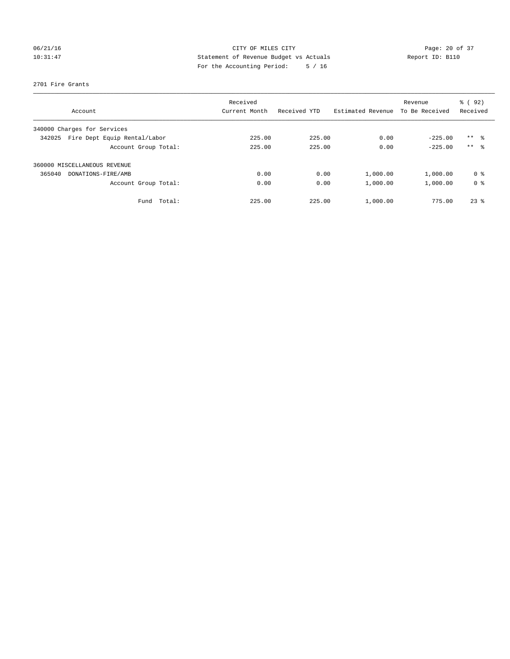# 06/21/16 Page: 20 of 37 10:31:47 Statement of Revenue Budget vs Actuals Report ID: B110 For the Accounting Period: 5 / 16

#### 2701 Fire Grants

| Account                                | Received<br>Current Month | Received YTD | Estimated Revenue | Revenue<br>To Be Received | 8 (92)<br>Received |
|----------------------------------------|---------------------------|--------------|-------------------|---------------------------|--------------------|
|                                        |                           |              |                   |                           |                    |
| 340000 Charges for Services            |                           |              |                   |                           |                    |
| Fire Dept Equip Rental/Labor<br>342025 | 225.00                    | 225.00       | 0.00              | $-225.00$                 | $***$ $\approx$    |
| Account Group Total:                   | 225.00                    | 225.00       | 0.00              | $-225.00$                 | $***$ $\approx$    |
| 360000 MISCELLANEOUS REVENUE           |                           |              |                   |                           |                    |
| 365040<br>DONATIONS-FIRE/AMB           | 0.00                      | 0.00         | 1,000.00          | 1,000.00                  | 0 <sup>8</sup>     |
| Account Group Total:                   | 0.00                      | 0.00         | 1,000.00          | 1,000.00                  | 0 <sup>8</sup>     |
| Fund Total:                            | 225.00                    | 225.00       | 1,000.00          | 775.00                    | $23$ $%$           |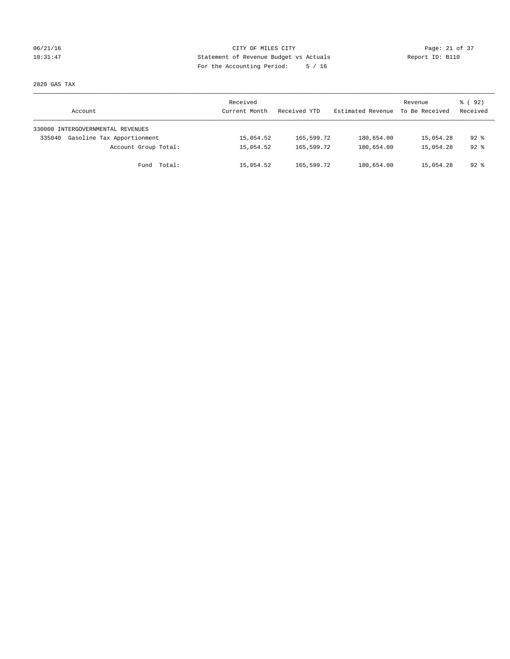## 06/21/16 Page: 21 of 37 10:31:47 Statement of Revenue Budget vs Actuals Report ID: B110 For the Accounting Period: 5 / 16

2820 GAS TAX

| Account                              | Received<br>Current Month | Received YTD | Estimated Revenue | Revenue<br>To Be Received | 8 (92)<br>Received |
|--------------------------------------|---------------------------|--------------|-------------------|---------------------------|--------------------|
| 330000 INTERGOVERNMENTAL REVENUES    |                           |              |                   |                           |                    |
| Gasoline Tax Apportionment<br>335040 | 15,054.52                 | 165,599.72   | 180,654.00        | 15,054.28                 | $92*$              |
| Account Group Total:                 | 15,054.52                 | 165,599.72   | 180,654.00        | 15,054.28                 | $92*$              |
| Fund Total:                          | 15,054.52                 | 165,599.72   | 180,654.00        | 15,054.28                 | 92 %               |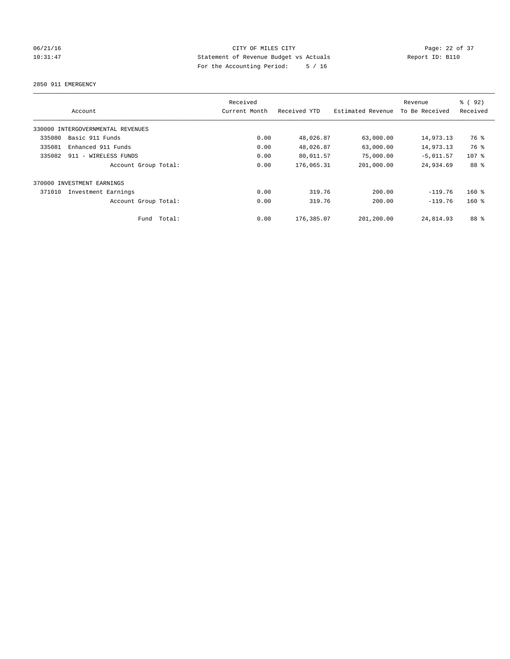# 06/21/16 Page: 22 of 37 10:31:47 Statement of Revenue Budget vs Actuals Report ID: B110 For the Accounting Period: 5 / 16

2850 911 EMERGENCY

|        | Account                           |        | Received<br>Current Month | Received YTD | Estimated Revenue | Revenue<br>To Be Received | % (92)<br>Received |
|--------|-----------------------------------|--------|---------------------------|--------------|-------------------|---------------------------|--------------------|
|        | 330000 INTERGOVERNMENTAL REVENUES |        |                           |              |                   |                           |                    |
| 335080 | Basic 911 Funds                   |        | 0.00                      | 48,026.87    | 63,000.00         | 14,973.13                 | 76 %               |
| 335081 | Enhanced 911 Funds                |        | 0.00                      | 48,026.87    | 63,000.00         | 14,973.13                 | 76 %               |
| 335082 | 911 - WIRELESS FUNDS              |        | 0.00                      | 80,011.57    | 75,000.00         | $-5,011.57$               | $107$ %            |
|        | Account Group Total:              |        | 0.00                      | 176,065.31   | 201,000.00        | 24,934.69                 | 88 %               |
|        | 370000 INVESTMENT EARNINGS        |        |                           |              |                   |                           |                    |
| 371010 | Investment Earnings               |        | 0.00                      | 319.76       | 200.00            | $-119.76$                 | $160*$             |
|        | Account Group Total:              |        | 0.00                      | 319.76       | 200.00            | $-119.76$                 | $160*$             |
|        | Fund                              | Total: | 0.00                      | 176,385.07   | 201,200.00        | 24,814.93                 | 88 %               |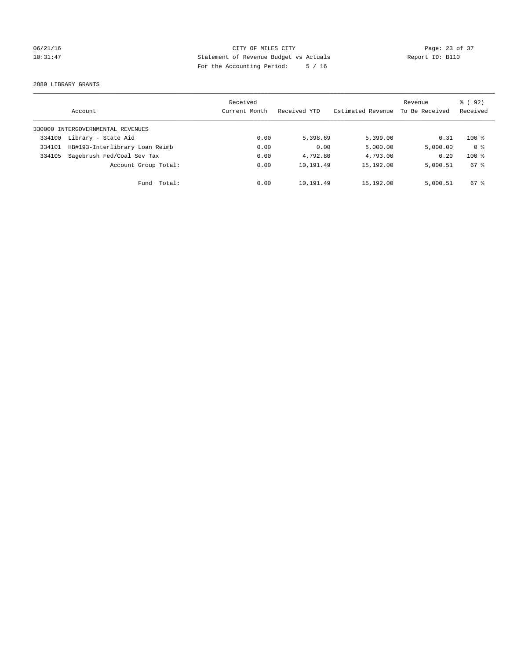# 06/21/16 Page: 23 of 37 10:31:47 Statement of Revenue Budget vs Actuals Report ID: B110 For the Accounting Period: 5 / 16

2880 LIBRARY GRANTS

|        | Account                           | Received<br>Current Month | Received YTD | Estimated Revenue | Revenue<br>To Be Received | % ( 92 )<br>Received |
|--------|-----------------------------------|---------------------------|--------------|-------------------|---------------------------|----------------------|
|        | 330000 INTERGOVERNMENTAL REVENUES |                           |              |                   |                           |                      |
| 334100 | Library - State Aid               | 0.00                      | 5,398.69     | 5,399.00          | 0.31                      | $100*$               |
| 334101 | HB#193-Interlibrary Loan Reimb    | 0.00                      | 0.00         | 5,000.00          | 5,000.00                  | 0 <sup>8</sup>       |
| 334105 | Sagebrush Fed/Coal Sev Tax        | 0.00                      | 4,792.80     | 4,793.00          | 0.20                      | $100*$               |
|        | Account Group Total:              | 0.00                      | 10,191.49    | 15,192.00         | 5,000.51                  | 67 %                 |
|        | Fund Total:                       | 0.00                      | 10,191.49    | 15,192.00         | 5,000.51                  | $67*$                |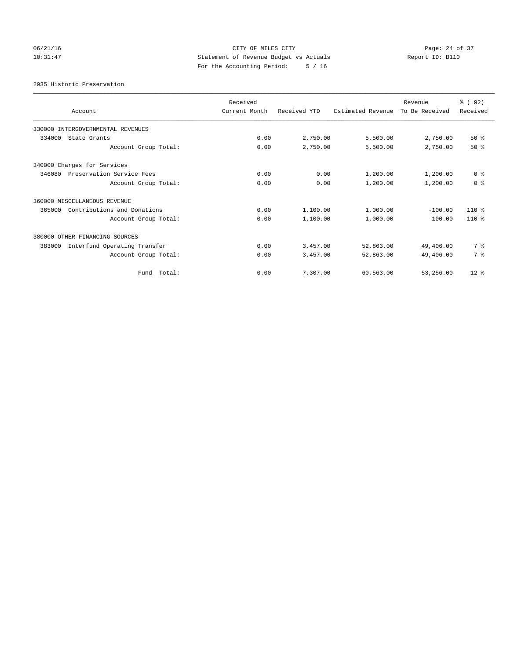# 06/21/16 Page: 24 of 37 10:31:47 Statement of Revenue Budget vs Actuals Report ID: B110 For the Accounting Period: 5 / 16

2935 Historic Preservation

| Account                                | Received<br>Current Month | Received YTD | Estimated Revenue | Revenue<br>To Be Received | % (92)<br>Received |
|----------------------------------------|---------------------------|--------------|-------------------|---------------------------|--------------------|
| 330000 INTERGOVERNMENTAL REVENUES      |                           |              |                   |                           |                    |
| 334000<br>State Grants                 | 0.00                      | 2,750.00     | 5,500.00          | 2,750.00                  | $50*$              |
| Account Group Total:                   | 0.00                      | 2,750.00     | 5,500.00          | 2,750.00                  | $50*$              |
| 340000 Charges for Services            |                           |              |                   |                           |                    |
| 346080<br>Preservation Service Fees    | 0.00                      | 0.00         | 1,200.00          | 1,200.00                  | 0 <sup>8</sup>     |
| Account Group Total:                   | 0.00                      | 0.00         | 1,200.00          | 1,200.00                  | 0 <sup>8</sup>     |
| 360000 MISCELLANEOUS REVENUE           |                           |              |                   |                           |                    |
| 365000<br>Contributions and Donations  | 0.00                      | 1,100.00     | 1,000.00          | $-100.00$                 | $110*$             |
| Account Group Total:                   | 0.00                      | 1,100.00     | 1,000.00          | $-100.00$                 | $110*$             |
| 380000 OTHER FINANCING SOURCES         |                           |              |                   |                           |                    |
| Interfund Operating Transfer<br>383000 | 0.00                      | 3,457.00     | 52,863.00         | 49,406.00                 | 7 %                |
| Account Group Total:                   | 0.00                      | 3,457.00     | 52,863.00         | 49,406.00                 | 7 %                |
| Total:<br>Fund                         | 0.00                      | 7.307.00     | 60,563.00         | 53,256.00                 | $12*$              |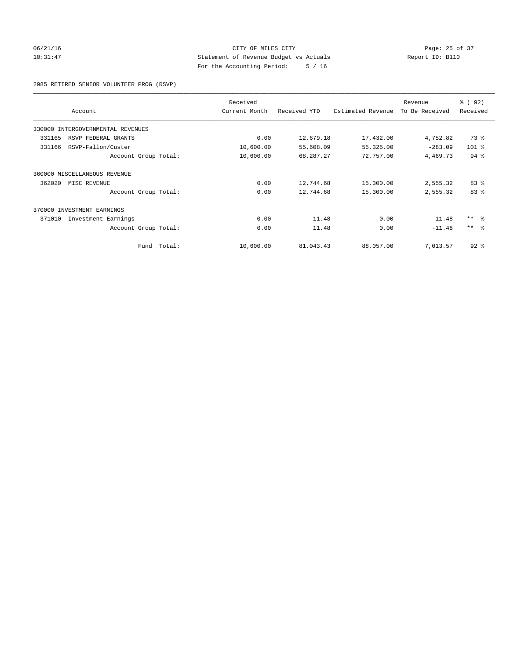## 06/21/16 Page: 25 of 37 10:31:47 Statement of Revenue Budget vs Actuals Report ID: B110 For the Accounting Period: 5 / 16

2985 RETIRED SENIOR VOLUNTEER PROG (RSVP)

| Account                           |             | Received<br>Current Month | Received YTD | Estimated Revenue | Revenue<br>To Be Received | 8 (92)<br>Received |
|-----------------------------------|-------------|---------------------------|--------------|-------------------|---------------------------|--------------------|
|                                   |             |                           |              |                   |                           |                    |
| 330000 INTERGOVERNMENTAL REVENUES |             |                           |              |                   |                           |                    |
| 331165<br>RSVP FEDERAL GRANTS     |             | 0.00                      | 12,679.18    | 17,432.00         | 4,752.82                  | 73 %               |
| 331166<br>RSVP-Fallon/Custer      |             | 10,600.00                 | 55,608.09    | 55,325.00         | $-283.09$                 | $101$ %            |
| Account Group Total:              |             | 10,600.00                 | 68,287.27    | 72,757.00         | 4,469.73                  | 94.8               |
| 360000 MISCELLANEOUS REVENUE      |             |                           |              |                   |                           |                    |
| 362020<br>MISC REVENUE            |             | 0.00                      | 12,744.68    | 15,300.00         | 2,555.32                  | 83%                |
| Account Group Total:              |             | 0.00                      | 12,744.68    | 15,300.00         | 2,555.32                  | 83%                |
| 370000 INVESTMENT EARNINGS        |             |                           |              |                   |                           |                    |
| 371010<br>Investment Earnings     |             | 0.00                      | 11.48        | 0.00              | $-11.48$                  | $***$ $ -$         |
| Account Group Total:              |             | 0.00                      | 11.48        | 0.00              | $-11.48$                  | $***$ $ -$         |
|                                   | Fund Total: | 10,600.00                 | 81,043.43    | 88,057.00         | 7,013.57                  | $92$ $%$           |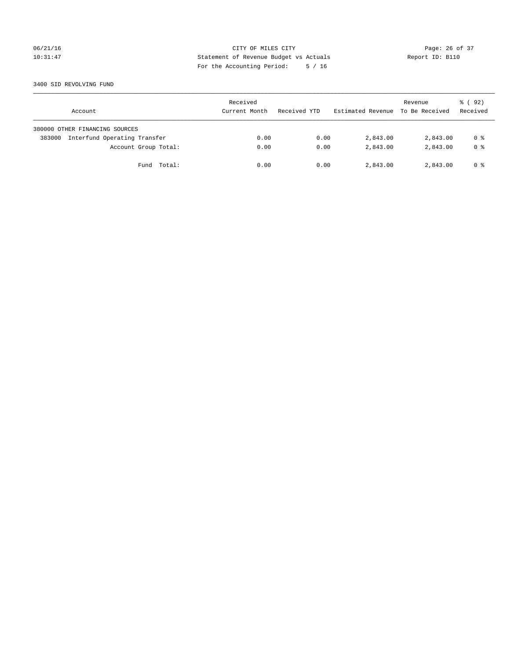## 06/21/16 Page: 26 of 37 10:31:47 Statement of Revenue Budget vs Actuals Report ID: B110 For the Accounting Period: 5 / 16

#### 3400 SID REVOLVING FUND

| Account                                | Received<br>Current Month | Received YTD | Estimated Revenue | Revenue<br>To Be Received | 8 (92)<br>Received |
|----------------------------------------|---------------------------|--------------|-------------------|---------------------------|--------------------|
| 380000 OTHER FINANCING SOURCES         |                           |              |                   |                           |                    |
| Interfund Operating Transfer<br>383000 | 0.00                      | 0.00         | 2,843.00          | 2,843.00                  | 0 %                |
| Account Group Total:                   | 0.00                      | 0.00         | 2,843.00          | 2,843.00                  | 0 <sup>8</sup>     |
| Fund Total:                            | 0.00                      | 0.00         | 2,843.00          | 2,843.00                  | 0 %                |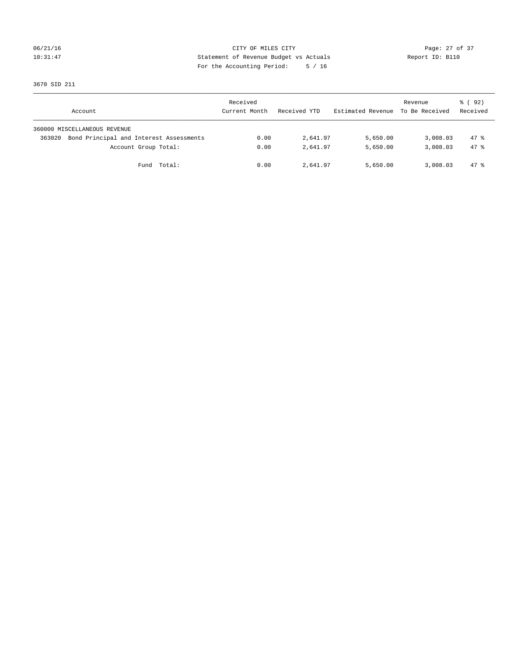# 06/21/16 Page: 27 of 37 10:31:47 Statement of Revenue Budget vs Actuals Report ID: B110 For the Accounting Period: 5 / 16

3670 SID 211

| Account                                           | Received<br>Current Month | Received YTD | Estimated Revenue | Revenue<br>To Be Received | 8 (92)<br>Received |
|---------------------------------------------------|---------------------------|--------------|-------------------|---------------------------|--------------------|
| 360000 MISCELLANEOUS REVENUE                      |                           |              |                   |                           |                    |
| Bond Principal and Interest Assessments<br>363020 | 0.00                      | 2,641.97     | 5,650.00          | 3,008.03                  | $47*$              |
| Account Group Total:                              | 0.00                      | 2,641.97     | 5,650.00          | 3,008.03                  | 47.8               |
| Fund Total:                                       | 0.00                      | 2,641.97     | 5,650.00          | 3,008.03                  | 47 %               |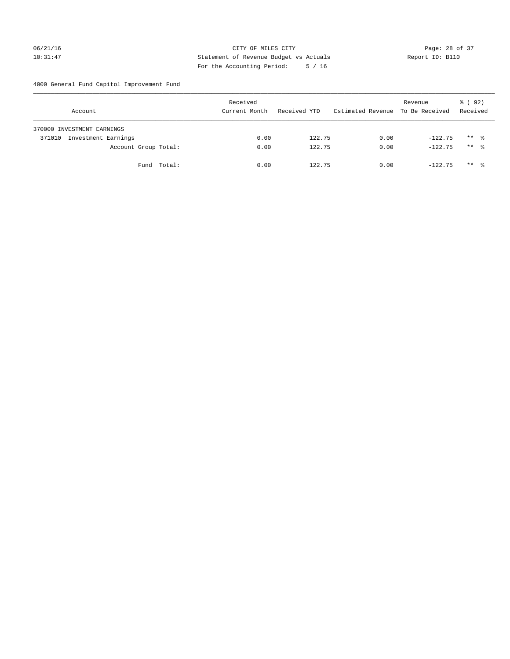## 06/21/16 Page: 28 of 37 10:31:47 Statement of Revenue Budget vs Actuals Report ID: B110 For the Accounting Period: 5 / 16

4000 General Fund Capitol Improvement Fund

|        | Account                    |             | Received<br>Current Month | Received YTD | Estimated Revenue | Revenue<br>To Be Received | 8 (92)<br>Received |
|--------|----------------------------|-------------|---------------------------|--------------|-------------------|---------------------------|--------------------|
|        | 370000 INVESTMENT EARNINGS |             |                           |              |                   |                           |                    |
| 371010 | Investment Earnings        |             | 0.00                      | 122.75       | 0.00              | $-122.75$                 | $***$ %            |
|        | Account Group Total:       |             | 0.00                      | 122.75       | 0.00              | $-122.75$                 | $***$ %            |
|        |                            | Fund Total: | 0.00                      | 122.75       | 0.00              | $-122.75$                 | $***$ %            |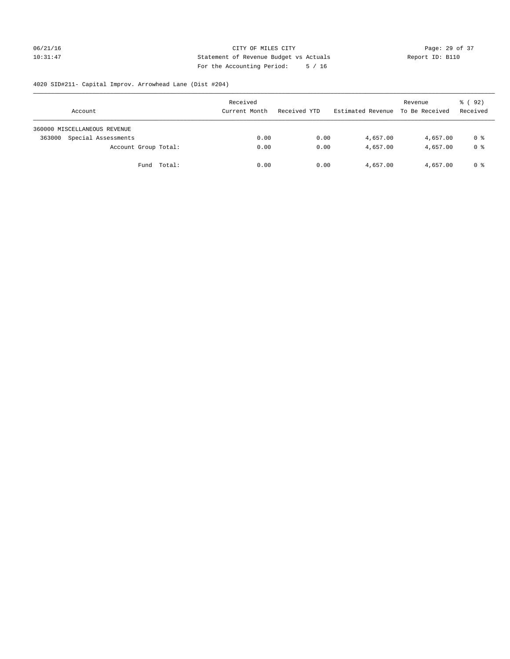# 06/21/16 Page: 29 of 37 10:31:47 Statement of Revenue Budget vs Actuals Report ID: B110 For the Accounting Period: 5 / 16

# 4020 SID#211- Capital Improv. Arrowhead Lane (Dist #204)

| Account                       | Received<br>Current Month | Received YTD | Estimated Revenue | Revenue<br>To Be Received | 8 (92)<br>Received |
|-------------------------------|---------------------------|--------------|-------------------|---------------------------|--------------------|
| 360000 MISCELLANEOUS REVENUE  |                           |              |                   |                           |                    |
| Special Assessments<br>363000 | 0.00                      | 0.00         | 4,657.00          | 4,657.00                  | 0 %                |
| Account Group Total:          | 0.00                      | 0.00         | 4,657.00          | 4,657.00                  | 0 %                |
| Fund Total:                   | 0.00                      | 0.00         | 4,657.00          | 4,657.00                  | 0 %                |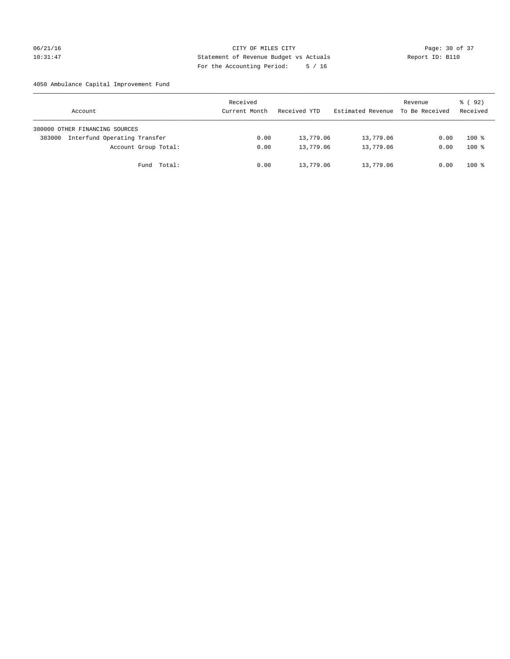## 06/21/16 Page: 30 of 37 10:31:47 Statement of Revenue Budget vs Actuals Report ID: B110 For the Accounting Period: 5 / 16

## 4050 Ambulance Capital Improvement Fund

| Account                                | Received<br>Current Month | Received YTD | Estimated Revenue | Revenue<br>To Be Received | 8 (92)<br>Received |
|----------------------------------------|---------------------------|--------------|-------------------|---------------------------|--------------------|
| 380000 OTHER FINANCING SOURCES         |                           |              |                   |                           |                    |
| Interfund Operating Transfer<br>383000 | 0.00                      | 13,779.06    | 13,779.06         | 0.00                      | $100*$             |
| Account Group Total:                   | 0.00                      | 13,779.06    | 13,779.06         | 0.00                      | $100*$             |
| Fund Total:                            | 0.00                      | 13,779.06    | 13,779.06         | 0.00                      | $100*$             |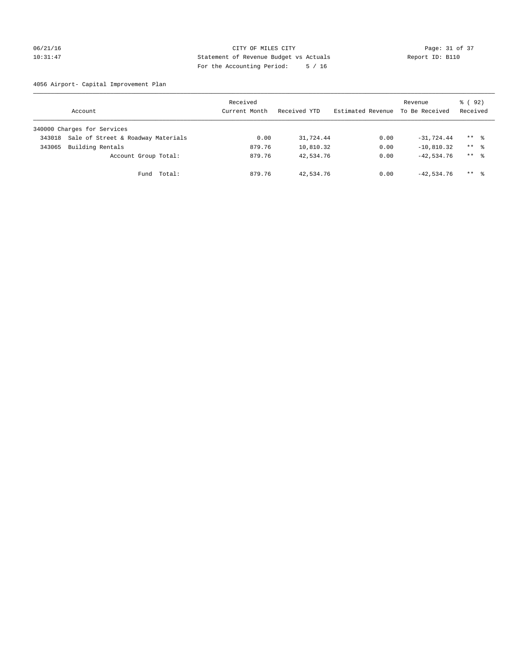## 06/21/16 Page: 31 of 37 10:31:47 Statement of Revenue Budget vs Actuals Report ID: B110 For the Accounting Period: 5 / 16

4056 Airport- Capital Improvement Plan

|        | Account                            | Received<br>Current Month | Received YTD | Estimated Revenue | Revenue<br>To Be Received | 8 (92)<br>Received  |
|--------|------------------------------------|---------------------------|--------------|-------------------|---------------------------|---------------------|
|        | 340000 Charges for Services        |                           |              |                   |                           |                     |
| 343018 | Sale of Street & Roadway Materials | 0.00                      | 31,724.44    | 0.00              | $-31,724.44$              | $***$ %             |
| 343065 | Building Rentals                   | 879.76                    | 10,810.32    | 0.00              | $-10,810.32$              | $***$ %             |
|        | Account Group Total:               | 879.76                    | 42,534.76    | 0.00              | $-42.534.76$              | $***$ $\frac{6}{5}$ |
|        | Fund Total:                        | 879.76                    | 42,534.76    | 0.00              | $-42,534.76$              | $***$ 2             |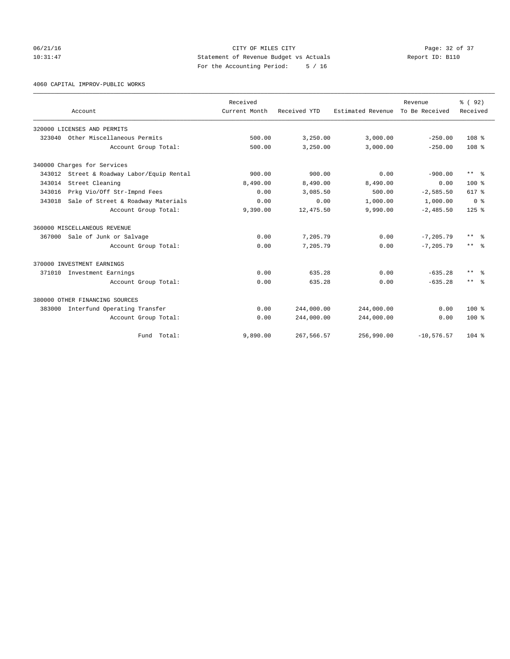# 06/21/16 Page: 32 of 37 10:31:47 Statement of Revenue Budget vs Actuals Report ID: B110 For the Accounting Period: 5 / 16

4060 CAPITAL IMPROV-PUBLIC WORKS

|        | Account                             | Received<br>Current Month | Received YTD | Estimated Revenue | Revenue<br>To Be Received | 8 (92)<br>Received      |
|--------|-------------------------------------|---------------------------|--------------|-------------------|---------------------------|-------------------------|
|        | 320000 LICENSES AND PERMITS         |                           |              |                   |                           |                         |
| 323040 | Other Miscellaneous Permits         | 500.00                    | 3,250.00     | 3,000.00          | $-250.00$                 | 108 <sup>8</sup>        |
|        | Account Group Total:                | 500.00                    | 3,250.00     | 3,000.00          | $-250.00$                 | 108 <sup>8</sup>        |
|        | 340000 Charges for Services         |                           |              |                   |                           |                         |
| 343012 | Street & Roadway Labor/Equip Rental | 900.00                    | 900.00       | 0.00              | $-900.00$                 | $***$ $=$ $\frac{6}{5}$ |
| 343014 | Street Cleaning                     | 8,490.00                  | 8,490.00     | 8,490.00          | 0.00                      | $100*$                  |
| 343016 | Prkg Vio/Off Str-Impnd Fees         | 0.00                      | 3,085.50     | 500.00            | $-2,585.50$               | 617 %                   |
| 343018 | Sale of Street & Roadway Materials  | 0.00                      | 0.00         | 1,000.00          | 1,000.00                  | 0 <sup>8</sup>          |
|        | Account Group Total:                | 9,390.00                  | 12,475.50    | 9,990.00          | $-2,485.50$               | $125$ $%$               |
|        | 360000 MISCELLANEOUS REVENUE        |                           |              |                   |                           |                         |
|        | 367000 Sale of Junk or Salvage      | 0.00                      | 7,205.79     | 0.00              | $-7.205.79$               | ** %                    |
|        | Account Group Total:                | 0.00                      | 7,205.79     | 0.00              | $-7.205.79$               | $***$ $=$               |
|        | 370000 INVESTMENT EARNINGS          |                           |              |                   |                           |                         |
| 371010 | Investment Earnings                 | 0.00                      | 635.28       | 0.00              | $-635.28$                 | ** *                    |
|        | Account Group Total:                | 0.00                      | 635.28       | 0.00              | $-635.28$                 | $***$ $ -$              |
|        | 380000 OTHER FINANCING SOURCES      |                           |              |                   |                           |                         |
| 383000 | Interfund Operating Transfer        | 0.00                      | 244,000.00   | 244,000.00        | 0.00                      | $100*$                  |
|        | Account Group Total:                | 0.00                      | 244,000.00   | 244,000.00        | 0.00                      | $100*$                  |
|        | Fund Total:                         | 9,890.00                  | 267,566.57   | 256,990.00        | $-10, 576.57$             | $104$ %                 |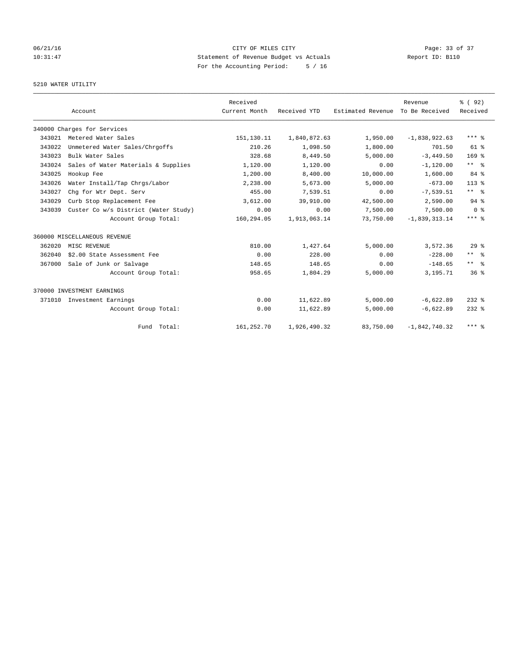# 06/21/16 Page: 33 of 37 10:31:47 Statement of Revenue Budget vs Actuals Report ID: B110 For the Accounting Period: 5 / 16

## 5210 WATER UTILITY

|        |                                      | Received      |              |                   | Revenue         | 8 (92)                  |
|--------|--------------------------------------|---------------|--------------|-------------------|-----------------|-------------------------|
|        | Account                              | Current Month | Received YTD | Estimated Revenue | To Be Received  | Received                |
|        | 340000 Charges for Services          |               |              |                   |                 |                         |
| 343021 | Metered Water Sales                  | 151,130.11    | 1,840,872.63 | 1,950.00          | $-1,838,922.63$ | $***$ $%$               |
| 343022 | Unmetered Water Sales/Chrgoffs       | 210.26        | 1,098.50     | 1,800.00          | 701.50          | $61$ $%$                |
| 343023 | Bulk Water Sales                     | 328.68        | 8,449.50     | 5.000.00          | $-3.449.50$     | 169 <sup>°</sup>        |
| 343024 | Sales of Water Materials & Supplies  | 1,120.00      | 1,120.00     | 0.00              | $-1, 120.00$    | $***$ $%$               |
| 343025 | Hookup Fee                           | 1,200.00      | 8,400.00     | 10,000.00         | 1,600.00        | 84 %                    |
| 343026 | Water Install/Tap Chrgs/Labor        | 2,238.00      | 5,673.00     | 5.000.00          | $-673.00$       | $113*$                  |
| 343027 | Chg for Wtr Dept. Serv               | 455.00        | 7,539.51     | 0.00              | $-7,539.51$     | $***$ $ -$              |
| 343029 | Curb Stop Replacement Fee            | 3,612.00      | 39,910.00    | 42,500.00         | 2,590.00        | 94 %                    |
| 343039 | Custer Co w/s District (Water Study) | 0.00          | 0.00         | 7,500.00          | 7,500.00        | 0 <sup>8</sup>          |
|        | Account Group Total:                 | 160,294.05    | 1,913,063.14 | 73,750.00         | $-1,839,313.14$ | $***$ $%$               |
|        | 360000 MISCELLANEOUS REVENUE         |               |              |                   |                 |                         |
| 362020 | MISC REVENUE                         | 810.00        | 1,427.64     | 5.000.00          | 3,572.36        | 29 <sup>8</sup>         |
| 362040 | \$2.00 State Assessment Fee          | 0.00          | 228.00       | 0.00              | $-228.00$       | $***$ $ -$              |
| 367000 | Sale of Junk or Salvage              | 148.65        | 148.65       | 0.00              | $-148.65$       | $***$ $=$ $\frac{6}{5}$ |
|        | Account Group Total:                 | 958.65        | 1,804.29     | 5,000.00          | 3,195.71        | 36%                     |
|        | 370000 INVESTMENT EARNINGS           |               |              |                   |                 |                         |
|        | 371010 Investment Earnings           | 0.00          | 11,622.89    | 5,000.00          | $-6.622.89$     | $232$ $%$               |
|        | Account Group Total:                 | 0.00          | 11,622.89    | 5,000.00          | $-6,622.89$     | $232$ $%$               |
|        | Fund Total:                          | 161,252.70    | 1,926,490.32 | 83,750.00         | $-1.842.740.32$ | $***$ $%$               |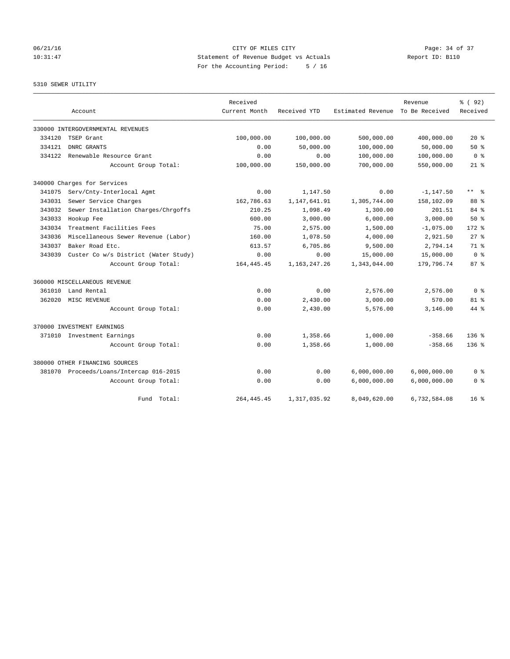# 06/21/16 Page: 34 of 37 10:31:47 Statement of Revenue Budget vs Actuals Report ID: B110 For the Accounting Period: 5 / 16

5310 SEWER UTILITY

|        |                                         | Received      |                 |                   | Revenue        | % (92)                  |
|--------|-----------------------------------------|---------------|-----------------|-------------------|----------------|-------------------------|
|        | Account                                 | Current Month | Received YTD    | Estimated Revenue | To Be Received | Received                |
|        | 330000 INTERGOVERNMENTAL REVENUES       |               |                 |                   |                |                         |
| 334120 | TSEP Grant                              | 100,000.00    | 100,000.00      | 500,000.00        | 400,000.00     | $20*$                   |
| 334121 | DNRC GRANTS                             | 0.00          | 50,000.00       | 100,000.00        | 50,000.00      | $50*$                   |
| 334122 | Renewable Resource Grant                | 0.00          | 0.00            | 100,000.00        | 100,000.00     | 0 <sup>8</sup>          |
|        | Account Group Total:                    | 100,000.00    | 150,000.00      | 700,000.00        | 550,000.00     | $21*$                   |
|        | 340000 Charges for Services             |               |                 |                   |                |                         |
| 341075 | Serv/Cnty-Interlocal Agmt               | 0.00          | 1,147.50        | 0.00              | $-1, 147.50$   | $***$ $=$ $\frac{6}{5}$ |
| 343031 | Sewer Service Charges                   | 162,786.63    | 1,147,641.91    | 1,305,744.00      | 158,102.09     | 88 %                    |
| 343032 | Sewer Installation Charges/Chrgoffs     | 210.25        | 1,098.49        | 1,300.00          | 201.51         | 84 %                    |
| 343033 | Hookup Fee                              | 600.00        | 3,000.00        | 6,000.00          | 3,000.00       | $50*$                   |
| 343034 | Treatment Facilities Fees               | 75.00         | 2,575.00        | 1,500.00          | $-1,075.00$    | 172.8                   |
| 343036 | Miscellaneous Sewer Revenue (Labor)     | 160.00        | 1,078.50        | 4,000.00          | 2,921.50       | $27$ $%$                |
| 343037 | Baker Road Etc.                         | 613.57        | 6,705.86        | 9,500.00          | 2,794.14       | 71.8                    |
| 343039 | Custer Co w/s District (Water Study)    | 0.00          | 0.00            | 15,000.00         | 15,000.00      | 0 <sup>8</sup>          |
|        | Account Group Total:                    | 164, 445.45   | 1, 163, 247. 26 | 1,343,044.00      | 179,796.74     | 87%                     |
|        | 360000 MISCELLANEOUS REVENUE            |               |                 |                   |                |                         |
| 361010 | Land Rental                             | 0.00          | 0.00            | 2,576.00          | 2,576.00       | 0 <sup>8</sup>          |
| 362020 | MISC REVENUE                            | 0.00          | 2,430.00        | 3,000.00          | 570.00         | $81$ %                  |
|        | Account Group Total:                    | 0.00          | 2,430.00        | 5,576.00          | 3,146.00       | $44*$                   |
|        | 370000 INVESTMENT EARNINGS              |               |                 |                   |                |                         |
|        | 371010 Investment Earnings              | 0.00          | 1,358.66        | 1,000.00          | $-358.66$      | 136 <sub>8</sub>        |
|        | Account Group Total:                    | 0.00          | 1,358.66        | 1,000.00          | $-358.66$      | $136*$                  |
|        | 380000 OTHER FINANCING SOURCES          |               |                 |                   |                |                         |
|        | 381070 Proceeds/Loans/Intercap 016-2015 | 0.00          | 0.00            | 6,000,000.00      | 6,000,000.00   | 0 %                     |
|        | Account Group Total:                    | 0.00          | 0.00            | 6,000,000.00      | 6,000,000.00   | 0 <sup>8</sup>          |
|        | Fund Total:                             | 264, 445.45   | 1,317,035.92    | 8,049,620.00      | 6,732,584.08   | 16 <sup>8</sup>         |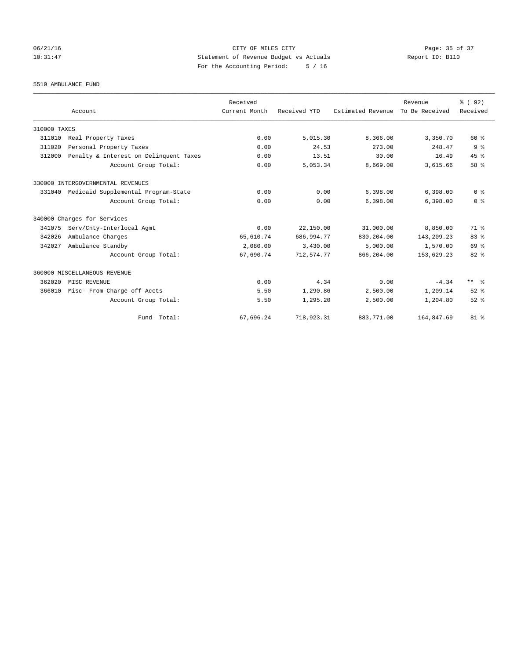# 06/21/16 Page: 35 of 37 10:31:47 Statement of Revenue Budget vs Actuals Report ID: B110 For the Accounting Period: 5 / 16

5510 AMBULANCE FUND

|              |                                            | Received      |              |                   | Revenue        | % (92)         |
|--------------|--------------------------------------------|---------------|--------------|-------------------|----------------|----------------|
|              | Account                                    | Current Month | Received YTD | Estimated Revenue | To Be Received | Received       |
| 310000 TAXES |                                            |               |              |                   |                |                |
| 311010       | Real Property Taxes                        | 0.00          | 5,015.30     | 8,366.00          | 3,350.70       | 60 %           |
| 311020       | Personal Property Taxes                    | 0.00          | 24.53        | 273.00            | 248.47         | 9 <sup>8</sup> |
| 312000       | Penalty & Interest on Delinquent Taxes     | 0.00          | 13.51        | 30.00             | 16.49          | $45$ $%$       |
|              | Account Group Total:                       | 0.00          | 5,053.34     | 8,669.00          | 3,615.66       | 58 %           |
|              | 330000 INTERGOVERNMENTAL REVENUES          |               |              |                   |                |                |
|              | 331040 Medicaid Supplemental Program-State | 0.00          | 0.00         | 6,398.00          | 6,398.00       | 0 <sup>8</sup> |
|              | Account Group Total:                       | 0.00          | 0.00         | 6,398.00          | 6,398.00       | 0 <sup>8</sup> |
|              | 340000 Charges for Services                |               |              |                   |                |                |
| 341075       | Serv/Cnty-Interlocal Agmt                  | 0.00          | 22,150.00    | 31,000.00         | 8,850.00       | 71 %           |
| 342026       | Ambulance Charges                          | 65,610.74     | 686,994.77   | 830,204.00        | 143,209.23     | 83%            |
| 342027       | Ambulance Standby                          | 2,080.00      | 3,430.00     | 5,000.00          | 1,570.00       | 69 %           |
|              | Account Group Total:                       | 67,690.74     | 712,574.77   | 866,204.00        | 153,629.23     | 82 %           |
|              | 360000 MISCELLANEOUS REVENUE               |               |              |                   |                |                |
| 362020       | MISC REVENUE                               | 0.00          | 4.34         | 0.00              | $-4.34$        | ** %           |
| 366010       | Misc- From Charge off Accts                | 5.50          | 1,290.86     | 2,500.00          | 1,209.14       | $52$ $%$       |
|              | Account Group Total:                       | 5.50          | 1,295.20     | 2,500.00          | 1,204.80       | $52$ $%$       |
|              | Fund Total:                                | 67,696.24     | 718,923.31   | 883,771.00        | 164,847.69     | $81$ %         |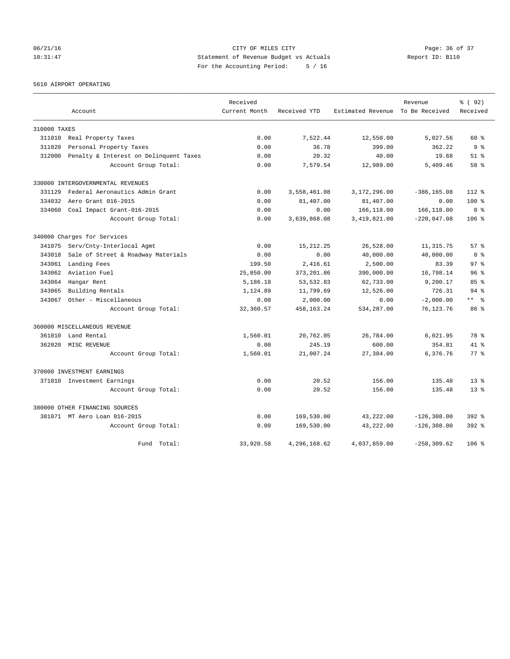# 06/21/16 Page: 36 of 37 10:31:47 Statement of Revenue Budget vs Actuals Report ID: B110 For the Accounting Period: 5 / 16

5610 AIRPORT OPERATING

|              |                                        | Received      |              |                                  | Revenue        | % (92)          |
|--------------|----------------------------------------|---------------|--------------|----------------------------------|----------------|-----------------|
|              | Account                                | Current Month | Received YTD | Estimated Revenue To Be Received |                | Received        |
| 310000 TAXES |                                        |               |              |                                  |                |                 |
| 311010       | Real Property Taxes                    | 0.00          | 7,522.44     | 12,550.00                        | 5,027.56       | $60*$           |
| 311020       | Personal Property Taxes                | 0.00          | 36.78        | 399.00                           | 362.22         | 9 <sub>8</sub>  |
| 312000       | Penalty & Interest on Delinquent Taxes | 0.00          | 20.32        | 40.00                            | 19.68          | $51$ $%$        |
|              | Account Group Total:                   | 0.00          | 7,579.54     | 12,989.00                        | 5,409.46       | 58 %            |
|              | 330000 INTERGOVERNMENTAL REVENUES      |               |              |                                  |                |                 |
| 331129       | Federal Aeronautics Admin Grant        | 0.00          | 3,558,461.08 | 3,172,296.00                     | $-386, 165.08$ | $112*$          |
| 334032       | Aero Grant 016-2015                    | 0.00          | 81,407.00    | 81,407.00                        | 0.00           | $100$ %         |
| 334060       | Coal Impact Grant-016-2015             | 0.00          | 0.00         | 166,118.00                       | 166,118.00     | 0 <sup>8</sup>  |
|              | Account Group Total:                   | 0.00          | 3,639,868.08 | 3,419,821.00                     | $-220,047.08$  | $106$ %         |
|              | 340000 Charges for Services            |               |              |                                  |                |                 |
| 341075       | Serv/Cnty-Interlocal Agmt              | 0.00          | 15, 212, 25  | 26,528.00                        | 11, 315.75     | $57*$           |
| 343018       | Sale of Street & Roadway Materials     | 0.00          | 0.00         | 40,000.00                        | 40,000.00      | 0 <sup>8</sup>  |
| 343061       | Landing Fees                           | 199.50        | 2,416.61     | 2,500.00                         | 83.39          | 97%             |
| 343062       | Aviation Fuel                          | 25,850.00     | 373, 201.86  | 390,000.00                       | 16,798.14      | 96 <sup>°</sup> |
| 343064       | Hangar Rent                            | 5,186.18      | 53, 532.83   | 62,733.00                        | 9,200.17       | 85%             |
| 343065       | Building Rentals                       | 1,124.89      | 11,799.69    | 12,526.00                        | 726.31         | $94$ $%$        |
| 343067       | Other - Miscellaneous                  | 0.00          | 2,000.00     | 0.00                             | $-2,000.00$    | $***$ $ -$      |
|              | Account Group Total:                   | 32,360.57     | 458, 163. 24 | 534,287.00                       | 76, 123. 76    | 86 <sup>8</sup> |
|              | 360000 MISCELLANEOUS REVENUE           |               |              |                                  |                |                 |
| 361010       | Land Rental                            | 1,560.01      | 20,762.05    | 26,784.00                        | 6,021.95       | 78 %            |
| 362020       | MISC REVENUE                           | 0.00          | 245.19       | 600.00                           | 354.81         | $41*$           |
|              | Account Group Total:                   | 1,560.01      | 21,007.24    | 27,384.00                        | 6,376.76       | $77$ $%$        |
|              | 370000 INVESTMENT EARNINGS             |               |              |                                  |                |                 |
|              | 371010 Investment Earnings             | 0.00          | 20.52        | 156.00                           | 135.48         | $13*$           |
|              | Account Group Total:                   | 0.00          | 20.52        | 156.00                           | 135.48         | $13*$           |
|              | 380000 OTHER FINANCING SOURCES         |               |              |                                  |                |                 |
|              | 381071 MT Aero Loan 016-2015           | 0.00          | 169,530.00   | 43,222.00                        | $-126, 308.00$ | $392$ $%$       |
|              | Account Group Total:                   | 0.00          | 169,530.00   | 43,222.00                        | $-126, 308.00$ | 392 %           |
|              | Fund Total:                            | 33,920.58     | 4,296,168.62 | 4,037,859.00                     | $-258, 309.62$ | 106 %           |